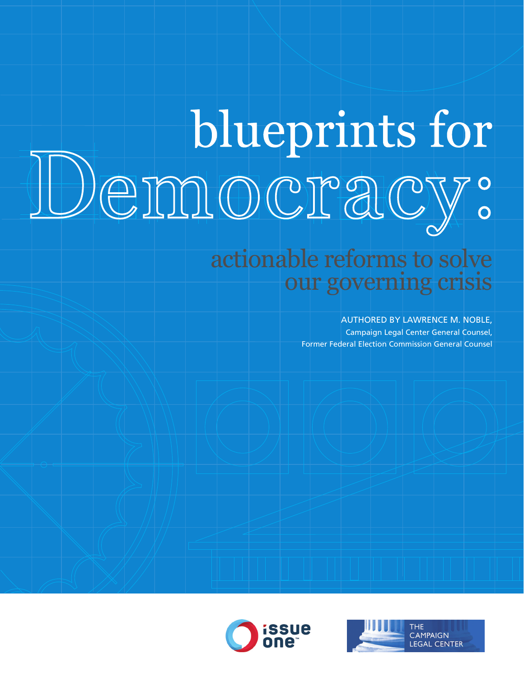# blueprints for Democracy:

AUTHORED BY LAWRENCE M. NOBLE, Campaign Legal Center General Counsel, Former Federal Election Commission General Counsel



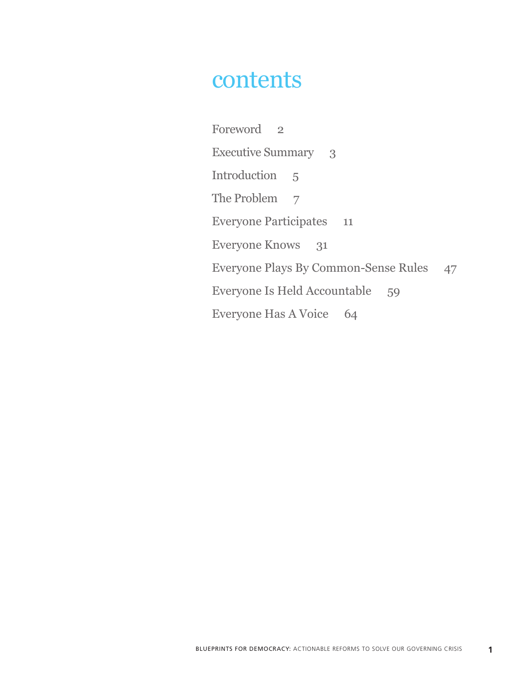# contents

Foreword 2 Executive Summary 3 Introduction 5 The Problem 7 Everyone Participates 11 Everyone Knows 31 Everyone Plays By Common-Sense Rules 47 Everyone Is Held Accountable 59 Everyone Has A Voice 64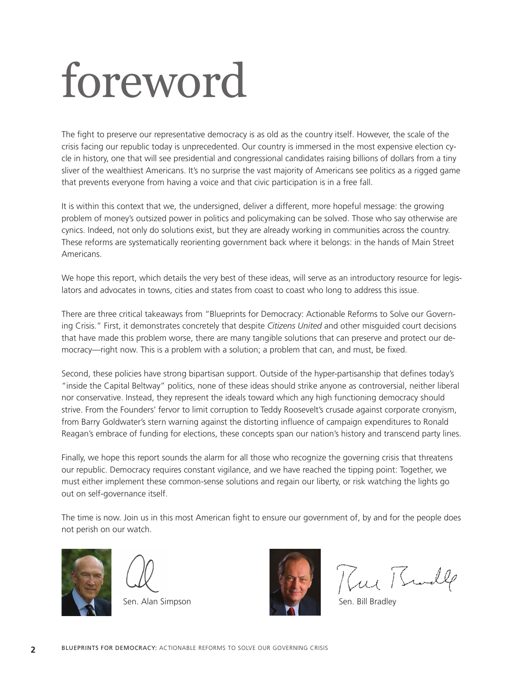# foreword

The fight to preserve our representative democracy is as old as the country itself. However, the scale of the crisis facing our republic today is unprecedented. Our country is immersed in the most expensive election cycle in history, one that will see presidential and congressional candidates raising billions of dollars from a tiny sliver of the wealthiest Americans. It's no surprise the vast majority of Americans see politics as a rigged game that prevents everyone from having a voice and that civic participation is in a free fall.

It is within this context that we, the undersigned, deliver a different, more hopeful message: the growing problem of money's outsized power in politics and policymaking can be solved. Those who say otherwise are cynics. Indeed, not only do solutions exist, but they are already working in communities across the country. These reforms are systematically reorienting government back where it belongs: in the hands of Main Street Americans.

We hope this report, which details the very best of these ideas, will serve as an introductory resource for legislators and advocates in towns, cities and states from coast to coast who long to address this issue.

There are three critical takeaways from "Blueprints for Democracy: Actionable Reforms to Solve our Governing Crisis." First, it demonstrates concretely that despite *Citizens United* and other misguided court decisions that have made this problem worse, there are many tangible solutions that can preserve and protect our democracy—right now. This is a problem with a solution; a problem that can, and must, be fixed.

Second, these policies have strong bipartisan support. Outside of the hyper-partisanship that defines today's "inside the Capital Beltway" politics, none of these ideas should strike anyone as controversial, neither liberal nor conservative. Instead, they represent the ideals toward which any high functioning democracy should strive. From the Founders' fervor to limit corruption to Teddy Roosevelt's crusade against corporate cronyism, from Barry Goldwater's stern warning against the distorting influence of campaign expenditures to Ronald Reagan's embrace of funding for elections, these concepts span our nation's history and transcend party lines.

Finally, we hope this report sounds the alarm for all those who recognize the governing crisis that threatens our republic. Democracy requires constant vigilance, and we have reached the tipping point: Together, we must either implement these common-sense solutions and regain our liberty, or risk watching the lights go out on self-governance itself.

The time is now. Join us in this most American fight to ensure our government of, by and for the people does not perish on our watch.





Rue Bradle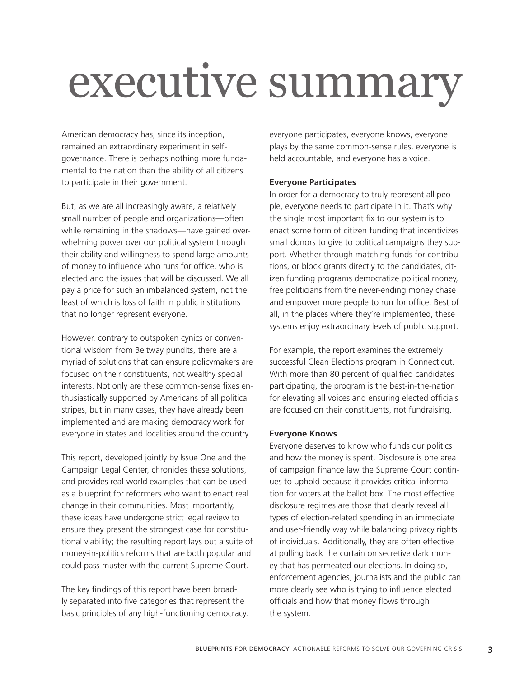# executive summary

American democracy has, since its inception, remained an extraordinary experiment in selfgovernance. There is perhaps nothing more fundamental to the nation than the ability of all citizens to participate in their government.

But, as we are all increasingly aware, a relatively small number of people and organizations—often while remaining in the shadows—have gained overwhelming power over our political system through their ability and willingness to spend large amounts of money to influence who runs for office, who is elected and the issues that will be discussed. We all pay a price for such an imbalanced system, not the least of which is loss of faith in public institutions that no longer represent everyone.

However, contrary to outspoken cynics or conventional wisdom from Beltway pundits, there are a myriad of solutions that can ensure policymakers are focused on their constituents, not wealthy special interests. Not only are these common-sense fixes enthusiastically supported by Americans of all political stripes, but in many cases, they have already been implemented and are making democracy work for everyone in states and localities around the country.

This report, developed jointly by Issue One and the Campaign Legal Center, chronicles these solutions, and provides real-world examples that can be used as a blueprint for reformers who want to enact real change in their communities. Most importantly, these ideas have undergone strict legal review to ensure they present the strongest case for constitutional viability; the resulting report lays out a suite of money-in-politics reforms that are both popular and could pass muster with the current Supreme Court.

The key findings of this report have been broadly separated into five categories that represent the basic principles of any high-functioning democracy: everyone participates, everyone knows, everyone plays by the same common-sense rules, everyone is held accountable, and everyone has a voice.

#### **Everyone Participates**

In order for a democracy to truly represent all people, everyone needs to participate in it. That's why the single most important fix to our system is to enact some form of citizen funding that incentivizes small donors to give to political campaigns they support. Whether through matching funds for contributions, or block grants directly to the candidates, citizen funding programs democratize political money, free politicians from the never-ending money chase and empower more people to run for office. Best of all, in the places where they're implemented, these systems enjoy extraordinary levels of public support.

For example, the report examines the extremely successful Clean Elections program in Connecticut. With more than 80 percent of qualified candidates participating, the program is the best-in-the-nation for elevating all voices and ensuring elected officials are focused on their constituents, not fundraising.

#### **Everyone Knows**

Everyone deserves to know who funds our politics and how the money is spent. Disclosure is one area of campaign finance law the Supreme Court continues to uphold because it provides critical information for voters at the ballot box. The most effective disclosure regimes are those that clearly reveal all types of election-related spending in an immediate and user-friendly way while balancing privacy rights of individuals. Additionally, they are often effective at pulling back the curtain on secretive dark money that has permeated our elections. In doing so, enforcement agencies, journalists and the public can more clearly see who is trying to influence elected officials and how that money flows through the system.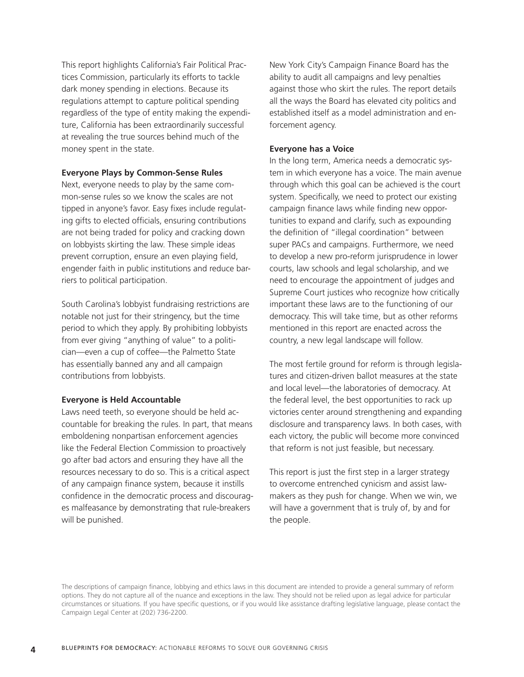This report highlights California's Fair Political Practices Commission, particularly its efforts to tackle dark money spending in elections. Because its regulations attempt to capture political spending regardless of the type of entity making the expenditure, California has been extraordinarily successful at revealing the true sources behind much of the money spent in the state.

#### **Everyone Plays by Common-Sense Rules**

Next, everyone needs to play by the same common-sense rules so we know the scales are not tipped in anyone's favor. Easy fixes include regulating gifts to elected officials, ensuring contributions are not being traded for policy and cracking down on lobbyists skirting the law. These simple ideas prevent corruption, ensure an even playing field, engender faith in public institutions and reduce barriers to political participation.

South Carolina's lobbyist fundraising restrictions are notable not just for their stringency, but the time period to which they apply. By prohibiting lobbyists from ever giving "anything of value" to a politician—even a cup of coffee—the Palmetto State has essentially banned any and all campaign contributions from lobbyists.

#### **Everyone is Held Accountable**

Laws need teeth, so everyone should be held accountable for breaking the rules. In part, that means emboldening nonpartisan enforcement agencies like the Federal Election Commission to proactively go after bad actors and ensuring they have all the resources necessary to do so. This is a critical aspect of any campaign finance system, because it instills confidence in the democratic process and discourages malfeasance by demonstrating that rule-breakers will be punished.

New York City's Campaign Finance Board has the ability to audit all campaigns and levy penalties against those who skirt the rules. The report details all the ways the Board has elevated city politics and established itself as a model administration and enforcement agency.

#### **Everyone has a Voice**

In the long term, America needs a democratic system in which everyone has a voice. The main avenue through which this goal can be achieved is the court system. Specifically, we need to protect our existing campaign finance laws while finding new opportunities to expand and clarify, such as expounding the definition of "illegal coordination" between super PACs and campaigns. Furthermore, we need to develop a new pro-reform jurisprudence in lower courts, law schools and legal scholarship, and we need to encourage the appointment of judges and Supreme Court justices who recognize how critically important these laws are to the functioning of our democracy. This will take time, but as other reforms mentioned in this report are enacted across the country, a new legal landscape will follow.

The most fertile ground for reform is through legislatures and citizen-driven ballot measures at the state and local level—the laboratories of democracy. At the federal level, the best opportunities to rack up victories center around strengthening and expanding disclosure and transparency laws. In both cases, with each victory, the public will become more convinced that reform is not just feasible, but necessary.

This report is just the first step in a larger strategy to overcome entrenched cynicism and assist lawmakers as they push for change. When we win, we will have a government that is truly of, by and for the people.

The descriptions of campaign finance, lobbying and ethics laws in this document are intended to provide a general summary of reform options. They do not capture all of the nuance and exceptions in the law. They should not be relied upon as legal advice for particular circumstances or situations. If you have specific questions, or if you would like assistance drafting legislative language, please contact the Campaign Legal Center at (202) 736-2200.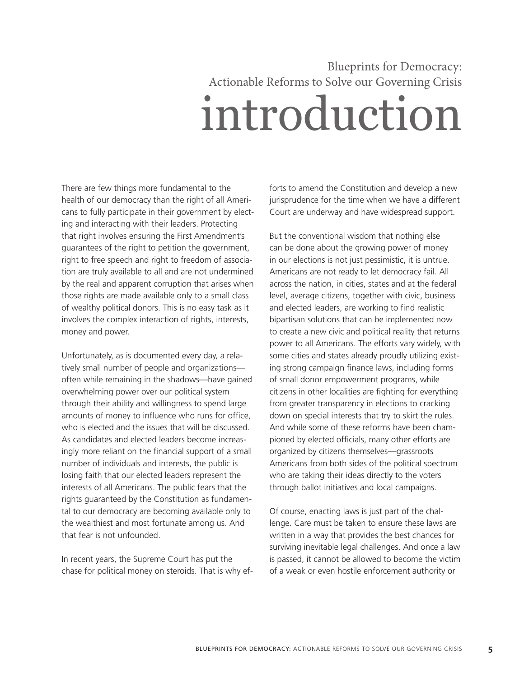# BLUEPRINTS FOR DEMOCRACY: ACTIONABLE REFORMS TO SOLVE OUR GOVERNING CRISIS **5**

# Blueprints for Democracy: Actionable Reforms to Solve our Governing Crisis introduction

### There are few things more fundamental to the health of our democracy than the right of all Americans to fully participate in their government by electing and interacting with their leaders. Protecting that right involves ensuring the First Amendment's guarantees of the right to petition the government, right to free speech and right to freedom of association are truly available to all and are not undermined by the real and apparent corruption that arises when those rights are made available only to a small class of wealthy political donors. This is no easy task as it involves the complex interaction of rights, interests, money and power.

Unfortunately, as is documented every day, a relatively small number of people and organizations often while remaining in the shadows—have gained overwhelming power over our political system through their ability and willingness to spend large amounts of money to influence who runs for office, who is elected and the issues that will be discussed. As candidates and elected leaders become increasingly more reliant on the financial support of a small number of individuals and interests, the public is losing faith that our elected leaders represent the interests of all Americans. The public fears that the rights guaranteed by the Constitution as fundamental to our democracy are becoming available only to the wealthiest and most fortunate among us. And that fear is not unfounded.

In recent years, the Supreme Court has put the chase for political money on steroids. That is why efforts to amend the Constitution and develop a new jurisprudence for the time when we have a different Court are underway and have widespread support.

But the conventional wisdom that nothing else can be done about the growing power of money in our elections is not just pessimistic, it is untrue. Americans are not ready to let democracy fail. All across the nation, in cities, states and at the federal level, average citizens, together with civic, business and elected leaders, are working to find realistic bipartisan solutions that can be implemented now to create a new civic and political reality that returns power to all Americans. The efforts vary widely, with some cities and states already proudly utilizing existing strong campaign finance laws, including forms of small donor empowerment programs, while citizens in other localities are fighting for everything from greater transparency in elections to cracking down on special interests that try to skirt the rules. And while some of these reforms have been championed by elected officials, many other efforts are organized by citizens themselves—grassroots Americans from both sides of the political spectrum who are taking their ideas directly to the voters through ballot initiatives and local campaigns.

Of course, enacting laws is just part of the challenge. Care must be taken to ensure these laws are written in a way that provides the best chances for surviving inevitable legal challenges. And once a law is passed, it cannot be allowed to become the victim of a weak or even hostile enforcement authority or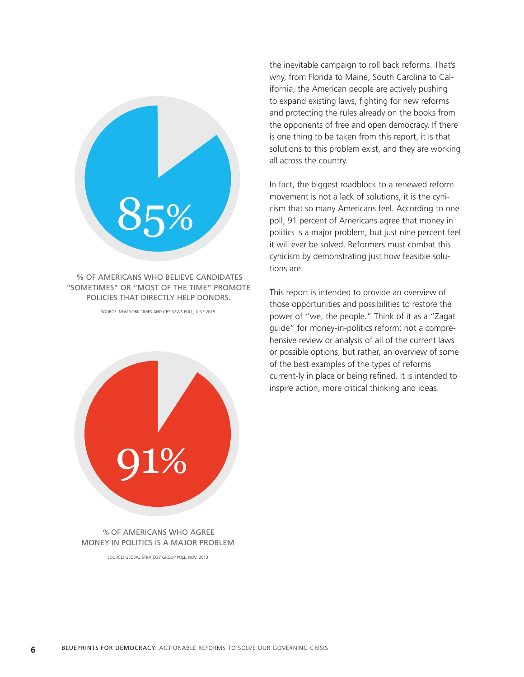

% OF AMERICANS WHO BELIEVE CANDIDATES "SOMETIMES" OR "MOST OF THE TIME" PROMOTE POLICIES THAT DIRECTLY HELP DONORS.

SOURCE: NEW YORK TIMES AND CBS NEWS POLL, JUNE 2015



why, from Florida to Maine, South Carolina to California, the American people are actively pushing to expand existing laws, fighting for new reforms and protecting the rules already on the books from the opponents of free and open democracy. If there is one thing to be taken from this report, it is that solutions to this problem exist, and they are working all across the country.

the inevitable campaign to roll back reforms. That's

In fact, the biggest roadblock to a renewed reform movement is not a lack of solutions, it is the cynicism that so many Americans feel. According to one poll, 91 percent of Americans agree that money in politics is a major problem, but just nine percent feel it will ever be solved. Reformers must combat this cynicism by demonstrating just how feasible solutions are.

This report is intended to provide an overview of those opportunities and possibilities to restore the power of "we, the people." Think of it as a "Zagat guide" for money-in-politics reform: not a comprehensive review or analysis of all of the current laws or possible options, but rather, an overview of some of the best examples of the types of reforms current-ly in place or being refined. It is intended to inspire action, more critical thinking and ideas.

 % OF AMERICANS WHO AGREE MONEY IN POLITICS IS A MAJOR PROBLEM

SOURCE: GLOBAL STRATEGY GROUP POLL, NOV. 2013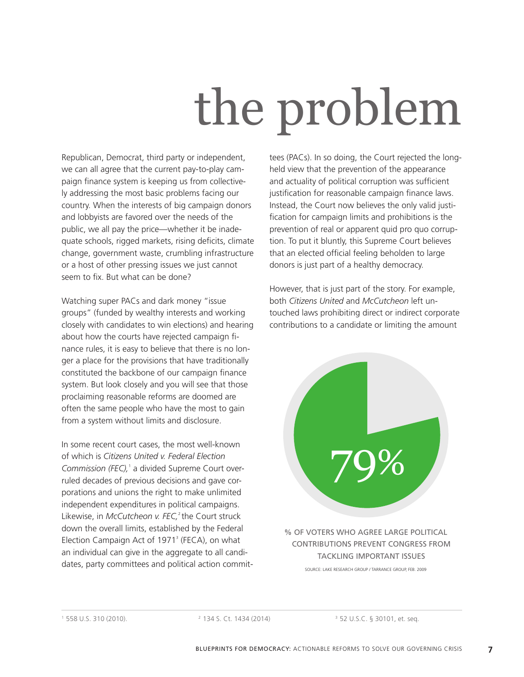# the problem

Republican, Democrat, third party or independent, we can all agree that the current pay-to-play campaign finance system is keeping us from collectively addressing the most basic problems facing our country. When the interests of big campaign donors and lobbyists are favored over the needs of the public, we all pay the price—whether it be inadequate schools, rigged markets, rising deficits, climate change, government waste, crumbling infrastructure or a host of other pressing issues we just cannot seem to fix. But what can be done?

Watching super PACs and dark money "issue groups" (funded by wealthy interests and working closely with candidates to win elections) and hearing about how the courts have rejected campaign finance rules, it is easy to believe that there is no longer a place for the provisions that have traditionally constituted the backbone of our campaign finance system. But look closely and you will see that those proclaiming reasonable reforms are doomed are often the same people who have the most to gain from a system without limits and disclosure.

In some recent court cases, the most well-known of which is *Citizens United v. Federal Election*  Commission (FEC),<sup>1</sup> a divided Supreme Court overruled decades of previous decisions and gave corporations and unions the right to make unlimited independent expenditures in political campaigns. Likewise, in *McCutcheon v. FEC*,<sup>2</sup> the Court struck down the overall limits, established by the Federal Election Campaign Act of 1971<sup>3</sup> (FECA), on what an individual can give in the aggregate to all candidates, party committees and political action committees (PACs). In so doing, the Court rejected the longheld view that the prevention of the appearance and actuality of political corruption was sufficient justification for reasonable campaign finance laws. Instead, the Court now believes the only valid justification for campaign limits and prohibitions is the prevention of real or apparent quid pro quo corruption. To put it bluntly, this Supreme Court believes that an elected official feeling beholden to large donors is just part of a healthy democracy.

However, that is just part of the story. For example, both *Citizens United* and *McCutcheon* left untouched laws prohibiting direct or indirect corporate contributions to a candidate or limiting the amount



% OF VOTERS WHO AGREE LARGE POLITICAL CONTRIBUTIONS PREVENT CONGRESS FROM TACKLING IMPORTANT ISSUES

SOURCE: LAKE RESEARCH GROUP / TARRANCE GROUP, FEB. 2009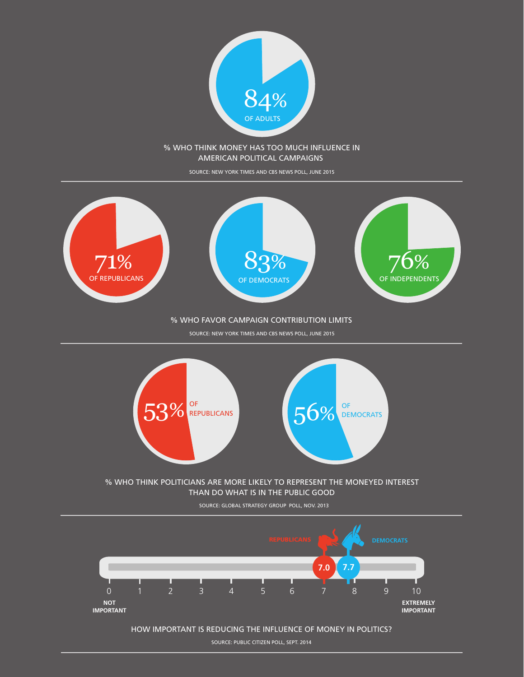

#### % WHO THINK MONEY HAS TOO MUCH INFLUENCE IN AMERICAN POLITICAL CAMPAIGNS

SOURCE: NEW YORK TIMES AND CBS NEWS POLL, JUNE 2015



% WHO THINK POLITICIANS ARE MORE LIKELY TO REPRESENT THE MONEYED INTEREST THAN DO WHAT IS IN THE PUBLIC GOOD

SOURCE: GLOBAL STRATEGY GROUP POLL, NOV. 2013

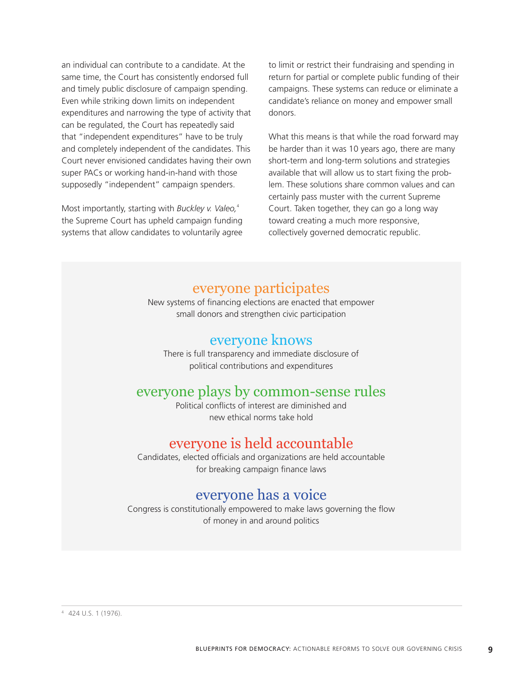an individual can contribute to a candidate. At the same time, the Court has consistently endorsed full and timely public disclosure of campaign spending. Even while striking down limits on independent expenditures and narrowing the type of activity that can be regulated, the Court has repeatedly said that "independent expenditures" have to be truly and completely independent of the candidates. This Court never envisioned candidates having their own super PACs or working hand-in-hand with those supposedly "independent" campaign spenders.

Most importantly, starting with *Buckley v. Valeo,*<sup>4</sup> the Supreme Court has upheld campaign funding systems that allow candidates to voluntarily agree to limit or restrict their fundraising and spending in return for partial or complete public funding of their campaigns. These systems can reduce or eliminate a candidate's reliance on money and empower small donors.

What this means is that while the road forward may be harder than it was 10 years ago, there are many short-term and long-term solutions and strategies available that will allow us to start fixing the problem. These solutions share common values and can certainly pass muster with the current Supreme Court. Taken together, they can go a long way toward creating a much more responsive, collectively governed democratic republic.

### everyone participates

New systems of financing elections are enacted that empower small donors and strengthen civic participation

#### everyone knows

There is full transparency and immediate disclosure of political contributions and expenditures

# everyone plays by common-sense rules

Political conflicts of interest are diminished and new ethical norms take hold

# everyone is held accountable

Candidates, elected officials and organizations are held accountable for breaking campaign finance laws

# everyone has a voice

Congress is constitutionally empowered to make laws governing the flow of money in and around politics

<sup>4</sup> 424 U.S. 1 (1976).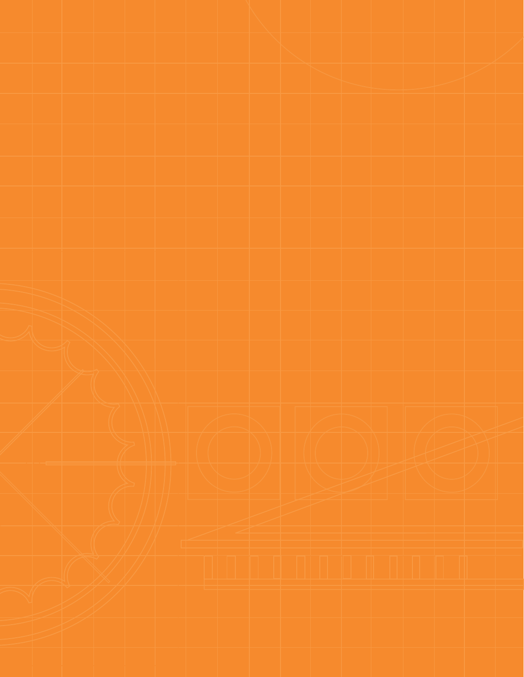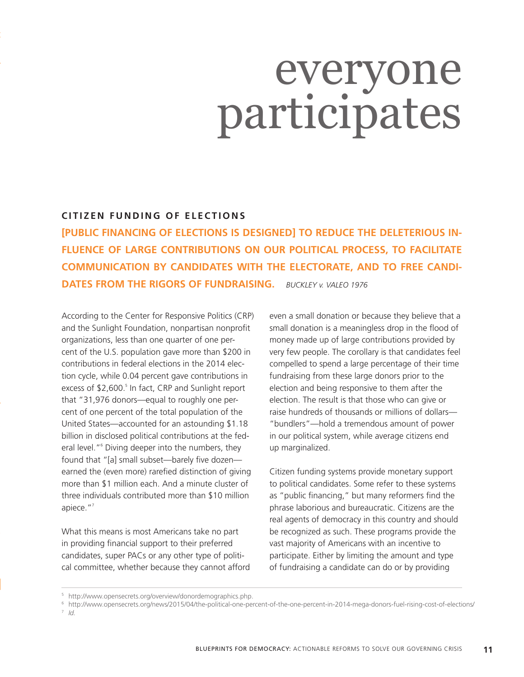# everyone participates

#### **CITIZEN FUNDING OF ELECTIONS**

**[PUBLIC FINANCING OF ELECTIONS IS DESIGNED] TO REDUCE THE DELETERIOUS IN-FLUENCE OF LARGE CONTRIBUTIONS ON OUR POLITICAL PROCESS, TO FACILITATE COMMUNICATION BY CANDIDATES WITH THE ELECTORATE, AND TO FREE CANDI-DATES FROM THE RIGORS OF FUNDRAISING.** *BUCKLEY v. VALEO 1976*

According to the Center for Responsive Politics (CRP) and the Sunlight Foundation, nonpartisan nonprofit organizations, less than one quarter of one percent of the U.S. population gave more than \$200 in contributions in federal elections in the 2014 election cycle, while 0.04 percent gave contributions in excess of \$2,600.<sup>5</sup> In fact, CRP and Sunlight report that "31,976 donors—equal to roughly one percent of one percent of the total population of the United States—accounted for an astounding \$1.18 billion in disclosed political contributions at the federal level."6 Diving deeper into the numbers, they found that "[a] small subset—barely five dozen earned the (even more) rarefied distinction of giving more than \$1 million each. And a minute cluster of three individuals contributed more than \$10 million apiece."<sup>7</sup>

What this means is most Americans take no part in providing financial support to their preferred candidates, super PACs or any other type of political committee, whether because they cannot afford even a small donation or because they believe that a small donation is a meaningless drop in the flood of money made up of large contributions provided by very few people. The corollary is that candidates feel compelled to spend a large percentage of their time fundraising from these large donors prior to the election and being responsive to them after the election. The result is that those who can give or raise hundreds of thousands or millions of dollars— "bundlers"—hold a tremendous amount of power in our political system, while average citizens end up marginalized.

Citizen funding systems provide monetary support to political candidates. Some refer to these systems as "public financing," but many reformers find the phrase laborious and bureaucratic. Citizens are the real agents of democracy in this country and should be recognized as such. These programs provide the vast majority of Americans with an incentive to participate. Either by limiting the amount and type of fundraising a candidate can do or by providing

<sup>5</sup> http://www.opensecrets.org/overview/donordemographics.php.

<sup>6</sup> http://www.opensecrets.org/news/2015/04/the-political-one-percent-of-the-one-percent-in-2014-mega-donors-fuel-rising-cost-of-elections/ <sup>7</sup> *Id.*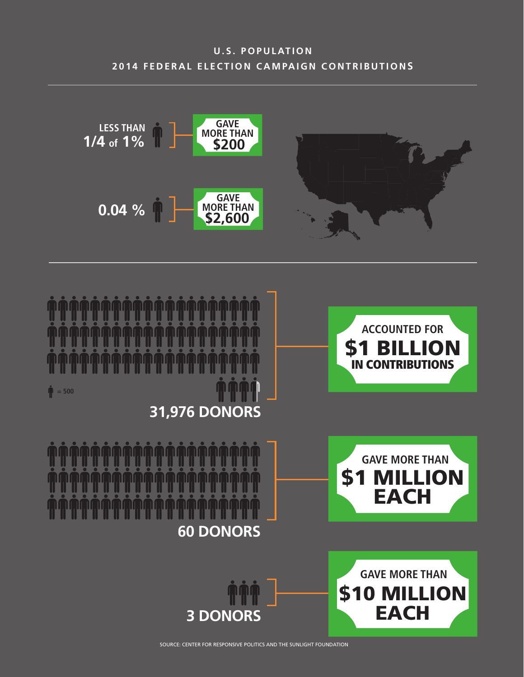### **U.S. POPULATION 2014 FEDERAL ELECTION CAMPAIGN CONTRIBUTION S**





12 BLUEPRINTS FOR DEMOCRACIES FOR DEMOCRACIES AND THE SOLVEN OUR GOVERNING CRISIS AND THE SOLVEN OUR GOVERNING CRISIS AND THE SOLVE OUR GOVERNING CRISIS AND THE SOLVE OUR GOVERNMENT COMPONENTS ON THE SOLVE OUR GOVERNMENT C SOURCE: CENTER FOR RESPONSIVE POLITICS AND THE SUNLIGHT FOUNDATION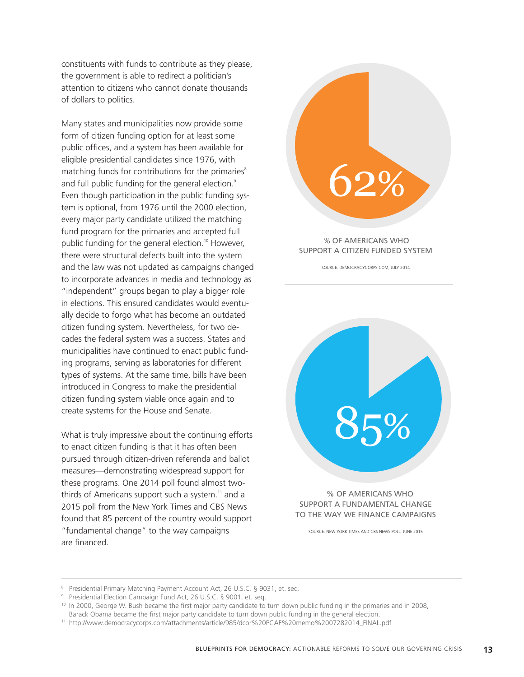constituents with funds to contribute as they please, the government is able to redirect a politician's attention to citizens who cannot donate thousands of dollars to politics.

Many states and municipalities now provide some form of citizen funding option for at least some public offices, and a system has been available for eligible presidential candidates since 1976, with matching funds for contributions for the primaries<sup>8</sup> and full public funding for the general election.<sup>9</sup> Even though participation in the public funding system is optional, from 1976 until the 2000 election, every major party candidate utilized the matching fund program for the primaries and accepted full public funding for the general election.<sup>10</sup> However, there were structural defects built into the system and the law was not updated as campaigns changed to incorporate advances in media and technology as "independent" groups began to play a bigger role in elections. This ensured candidates would eventually decide to forgo what has become an outdated citizen funding system. Nevertheless, for two decades the federal system was a success. States and municipalities have continued to enact public funding programs, serving as laboratories for different types of systems. At the same time, bills have been introduced in Congress to make the presidential citizen funding system viable once again and to create systems for the House and Senate.

What is truly impressive about the continuing efforts to enact citizen funding is that it has often been pursued through citizen-driven referenda and ballot measures—demonstrating widespread support for these programs. One 2014 poll found almost twothirds of Americans support such a system.<sup>11</sup> and a 2015 poll from the New York Times and CBS News found that 85 percent of the country would support "fundamental change" to the way campaigns are financed.



#### % OF AMERICANS WHO SUPPORT A CITIZEN FUNDED SYSTEM

SOURCE: DEMOCRACYCORPS.COM, JULY 2014

85%

% OF AMERICANS WHO SUPPORT A FUNDAMENTAL CHANGE TO THE WAY WE FINANCE CAMPAIGNS

SOURCE: NEW YORK TIMES AND CBS NEWS POLL, JUNE 2015

<sup>&</sup>lt;sup>8</sup> Presidential Primary Matching Payment Account Act, 26 U.S.C. § 9031, et. seq.

<sup>&</sup>lt;sup>9</sup> Presidential Election Campaign Fund Act, 26 U.S.C. § 9001, et. seq.

<sup>&</sup>lt;sup>10</sup> In 2000, George W. Bush became the first major party candidate to turn down public funding in the primaries and in 2008, Barack Obama became the first major party candidate to turn down public funding in the general election.

<sup>11</sup> http://www.democracycorps.com/attachments/article/985/dcor%20PCAF%20memo%2007282014\_FINAL.pdf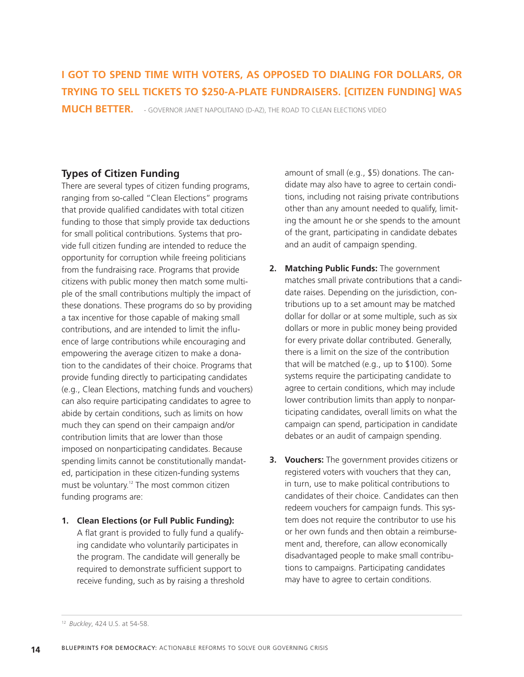## **I GOT TO SPEND TIME WITH VOTERS, AS OPPOSED TO DIALING FOR DOLLARS, OR TRYING TO SELL TICKETS TO \$250-A-PLATE FUNDRAISERS. [CITIZEN FUNDING] WAS**

**MUCH BETTER.** - GOVERNOR JANET NAPOLITANO (D-AZ), THE ROAD TO CLEAN ELECTIONS VIDEO

#### **Types of Citizen Funding**

There are several types of citizen funding programs, ranging from so-called "Clean Elections" programs that provide qualified candidates with total citizen funding to those that simply provide tax deductions for small political contributions. Systems that provide full citizen funding are intended to reduce the opportunity for corruption while freeing politicians from the fundraising race. Programs that provide citizens with public money then match some multiple of the small contributions multiply the impact of these donations. These programs do so by providing a tax incentive for those capable of making small contributions, and are intended to limit the influence of large contributions while encouraging and empowering the average citizen to make a donation to the candidates of their choice. Programs that provide funding directly to participating candidates (e.g., Clean Elections, matching funds and vouchers) can also require participating candidates to agree to abide by certain conditions, such as limits on how much they can spend on their campaign and/or contribution limits that are lower than those imposed on nonparticipating candidates. Because spending limits cannot be constitutionally mandated, participation in these citizen-funding systems must be voluntary.<sup>12</sup> The most common citizen funding programs are:

**1. Clean Elections (or Full Public Funding):** A flat grant is provided to fully fund a qualifying candidate who voluntarily participates in the program. The candidate will generally be required to demonstrate sufficient support to receive funding, such as by raising a threshold amount of small (e.g., \$5) donations. The candidate may also have to agree to certain conditions, including not raising private contributions other than any amount needed to qualify, limiting the amount he or she spends to the amount of the grant, participating in candidate debates and an audit of campaign spending.

- **2. Matching Public Funds:** The government matches small private contributions that a candidate raises. Depending on the jurisdiction, contributions up to a set amount may be matched dollar for dollar or at some multiple, such as six dollars or more in public money being provided for every private dollar contributed. Generally, there is a limit on the size of the contribution that will be matched (e.g., up to \$100). Some systems require the participating candidate to agree to certain conditions, which may include lower contribution limits than apply to nonparticipating candidates, overall limits on what the campaign can spend, participation in candidate debates or an audit of campaign spending.
- **3. Vouchers:** The government provides citizens or registered voters with vouchers that they can, in turn, use to make political contributions to candidates of their choice. Candidates can then redeem vouchers for campaign funds. This system does not require the contributor to use his or her own funds and then obtain a reimbursement and, therefore, can allow economically disadvantaged people to make small contributions to campaigns. Participating candidates may have to agree to certain conditions.

<sup>12</sup> *Buckley*, 424 U.S. at 54-58.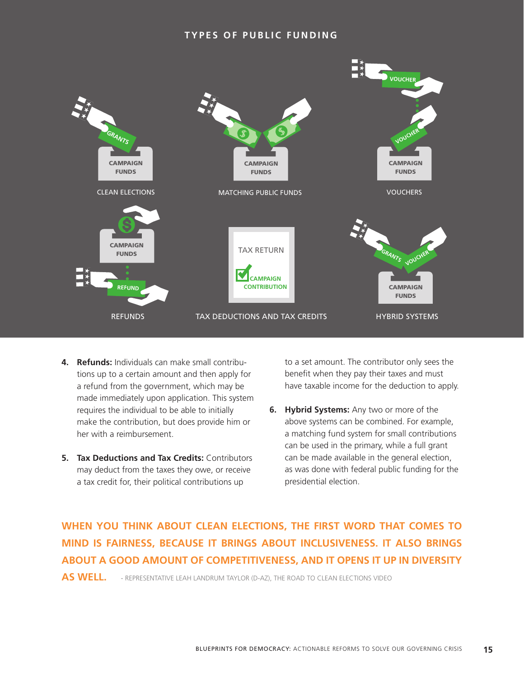#### **TYPES OF PUBLIC FUNDING**



- **4. Refunds:** Individuals can make small contributions up to a certain amount and then apply for a refund from the government, which may be made immediately upon application. This system requires the individual to be able to initially make the contribution, but does provide him or her with a reimbursement.
- **5. Tax Deductions and Tax Credits:** Contributors may deduct from the taxes they owe, or receive a tax credit for, their political contributions up

to a set amount. The contributor only sees the benefit when they pay their taxes and must have taxable income for the deduction to apply.

**6. Hybrid Systems:** Any two or more of the above systems can be combined. For example, a matching fund system for small contributions can be used in the primary, while a full grant can be made available in the general election, as was done with federal public funding for the presidential election.

# **WHEN YOU THINK ABOUT CLEAN ELECTIONS, THE FIRST WORD THAT COMES TO MIND IS FAIRNESS, BECAUSE IT BRINGS ABOUT INCLUSIVENESS. IT ALSO BRINGS ABOUT A GOOD AMOUNT OF COMPETITIVENESS, AND IT OPENS IT UP IN DIVERSITY**

**AS WELL.** - REPRESENTATIVE LEAH LANDRUM TAYLOR (D-AZ), THE ROAD TO CLEAN ELECTIONS VIDEO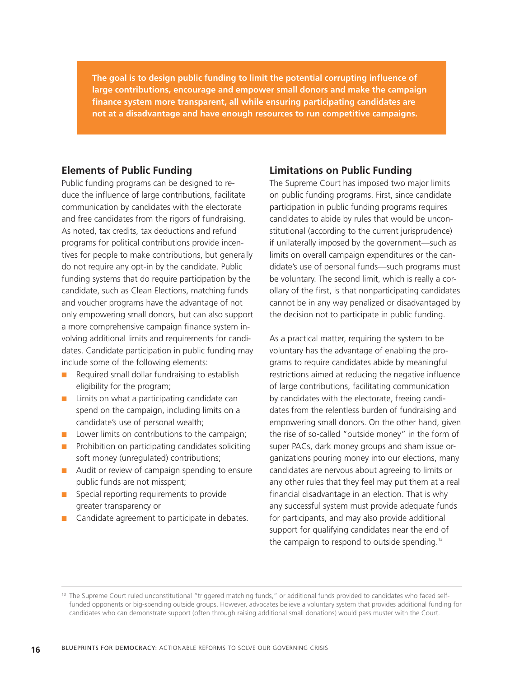**The goal is to design public funding to limit the potential corrupting influence of large contributions, encourage and empower small donors and make the campaign finance system more transparent, all while ensuring participating candidates are not at a disadvantage and have enough resources to run competitive campaigns.**

#### **Elements of Public Funding**

Public funding programs can be designed to reduce the influence of large contributions, facilitate communication by candidates with the electorate and free candidates from the rigors of fundraising. As noted, tax credits, tax deductions and refund programs for political contributions provide incentives for people to make contributions, but generally do not require any opt-in by the candidate. Public funding systems that do require participation by the candidate, such as Clean Elections, matching funds and voucher programs have the advantage of not only empowering small donors, but can also support a more comprehensive campaign finance system involving additional limits and requirements for candidates. Candidate participation in public funding may include some of the following elements:

- $\blacksquare$  Required small dollar fundraising to establish eligibility for the program;
- $\blacksquare$  Limits on what a participating candidate can spend on the campaign, including limits on a candidate's use of personal wealth;
- $\blacksquare$  Lower limits on contributions to the campaign;
- Prohibition on participating candidates soliciting soft money (unregulated) contributions;
- **n** Audit or review of campaign spending to ensure public funds are not misspent;
- Special reporting requirements to provide greater transparency or
- Candidate agreement to participate in debates.

#### **Limitations on Public Funding**

The Supreme Court has imposed two major limits on public funding programs. First, since candidate participation in public funding programs requires candidates to abide by rules that would be unconstitutional (according to the current jurisprudence) if unilaterally imposed by the government—such as limits on overall campaign expenditures or the candidate's use of personal funds—such programs must be voluntary. The second limit, which is really a corollary of the first, is that nonparticipating candidates cannot be in any way penalized or disadvantaged by the decision not to participate in public funding.

As a practical matter, requiring the system to be voluntary has the advantage of enabling the programs to require candidates abide by meaningful restrictions aimed at reducing the negative influence of large contributions, facilitating communication by candidates with the electorate, freeing candidates from the relentless burden of fundraising and empowering small donors. On the other hand, given the rise of so-called "outside money" in the form of super PACs, dark money groups and sham issue organizations pouring money into our elections, many candidates are nervous about agreeing to limits or any other rules that they feel may put them at a real financial disadvantage in an election. That is why any successful system must provide adequate funds for participants, and may also provide additional support for qualifying candidates near the end of the campaign to respond to outside spending.<sup>13</sup>

<sup>&</sup>lt;sup>13</sup> The Supreme Court ruled unconstitutional "triggered matching funds," or additional funds provided to candidates who faced selffunded opponents or big-spending outside groups. However, advocates believe a voluntary system that provides additional funding for candidates who can demonstrate support (often through raising additional small donations) would pass muster with the Court.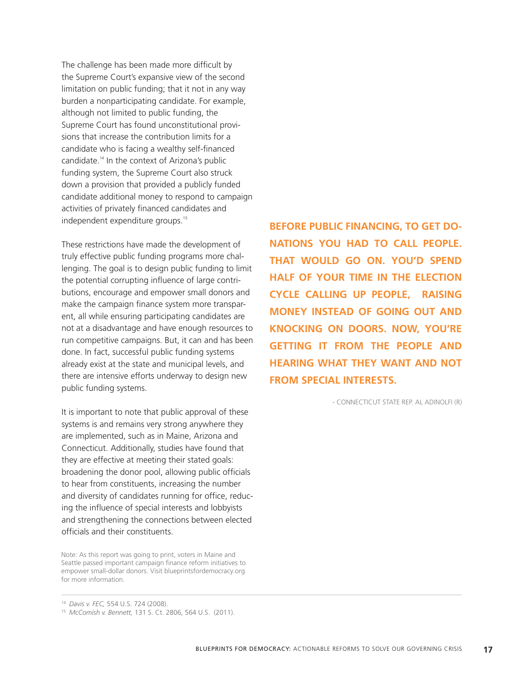The challenge has been made more difficult by the Supreme Court's expansive view of the second limitation on public funding; that it not in any way burden a nonparticipating candidate. For example, although not limited to public funding, the Supreme Court has found unconstitutional provisions that increase the contribution limits for a candidate who is facing a wealthy self-financed candidate.<sup>14</sup> In the context of Arizona's public funding system, the Supreme Court also struck down a provision that provided a publicly funded candidate additional money to respond to campaign activities of privately financed candidates and independent expenditure groups.<sup>15</sup>

These restrictions have made the development of truly effective public funding programs more challenging. The goal is to design public funding to limit the potential corrupting influence of large contributions, encourage and empower small donors and make the campaign finance system more transparent, all while ensuring participating candidates are not at a disadvantage and have enough resources to run competitive campaigns. But, it can and has been done. In fact, successful public funding systems already exist at the state and municipal levels, and there are intensive efforts underway to design new public funding systems.

It is important to note that public approval of these systems is and remains very strong anywhere they are implemented, such as in Maine, Arizona and Connecticut. Additionally, studies have found that they are effective at meeting their stated goals: broadening the donor pool, allowing public officials to hear from constituents, increasing the number and diversity of candidates running for office, reducing the influence of special interests and lobbyists and strengthening the connections between elected officials and their constituents.

Note: As this report was going to print, voters in Maine and Seattle passed important campaign finance reform initiatives to empower small-dollar donors. Visit blueprintsfordemocracy.org for more information.

**BEFORE PUBLIC FINANCING, TO GET DO-NATIONS YOU HAD TO CALL PEOPLE. THAT WOULD GO ON. YOU'D SPEND HALF OF YOUR TIME IN THE ELECTION CYCLE CALLING UP PEOPLE, RAISING MONEY INSTEAD OF GOING OUT AND KNOCKING ON DOORS. NOW, YOU'RE GETTING IT FROM THE PEOPLE AND HEARING WHAT THEY WANT AND NOT FROM SPECIAL INTERESTS.**

- CONNECTICUT STATE REP. AL ADINOLFI (R)

<sup>14</sup> *Davis v. FEC,* 554 U.S. 724 (2008).

<sup>15</sup> *McComish v. Bennett,* 131 S. Ct. 2806, 564 U.S. (2011).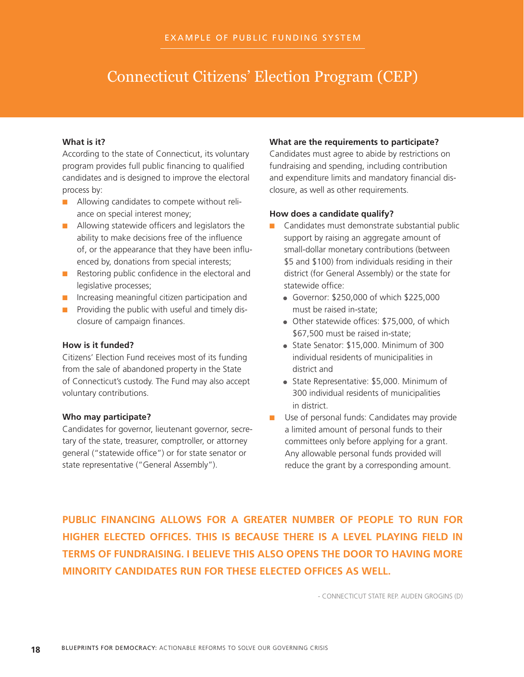# Connecticut Citizens' Election Program (CEP)

#### **What is it?**

According to the state of Connecticut, its voluntary program provides full public financing to qualified candidates and is designed to improve the electoral process by:

- **n** Allowing candidates to compete without reliance on special interest money;
- **n** Allowing statewide officers and legislators the ability to make decisions free of the influence of, or the appearance that they have been influenced by, donations from special interests;
- $\blacksquare$  Restoring public confidence in the electoral and legislative processes;
- $\blacksquare$  Increasing meaningful citizen participation and
- $\blacksquare$  Providing the public with useful and timely disclosure of campaign finances.

#### **How is it funded?**

Citizens' Election Fund receives most of its funding from the sale of abandoned property in the State of Connecticut's custody. The Fund may also accept voluntary contributions.

#### **Who may participate?**

Candidates for governor, lieutenant governor, secretary of the state, treasurer, comptroller, or attorney general ("statewide office") or for state senator or state representative ("General Assembly").

#### **What are the requirements to participate?**

Candidates must agree to abide by restrictions on fundraising and spending, including contribution and expenditure limits and mandatory financial disclosure, as well as other requirements.

#### **How does a candidate qualify?**

- Candidates must demonstrate substantial public support by raising an aggregate amount of small-dollar monetary contributions (between \$5 and \$100) from individuals residing in their district (for General Assembly) or the state for statewide office:
	- <sup>l</sup> Governor: \$250,000 of which \$225,000 must be raised in-state;
	- $\bullet$  Other statewide offices: \$75,000, of which \$67,500 must be raised in-state;
	- $\bullet$  State Senator: \$15,000. Minimum of 300 individual residents of municipalities in district and
	- State Representative: \$5,000. Minimum of 300 individual residents of municipalities in district.
- **n** Use of personal funds: Candidates may provide a limited amount of personal funds to their committees only before applying for a grant. Any allowable personal funds provided will reduce the grant by a corresponding amount.

**PUBLIC FINANCING ALLOWS FOR A GREATER NUMBER OF PEOPLE TO RUN FOR HIGHER ELECTED OFFICES. THIS IS BECAUSE THERE IS A LEVEL PLAYING FIELD IN TERMS OF FUNDRAISING. I BELIEVE THIS ALSO OPENS THE DOOR TO HAVING MORE MINORITY CANDIDATES RUN FOR THESE ELECTED OFFICES AS WELL.**

- CONNECTICUT STATE REP. AUDEN GROGINS (D)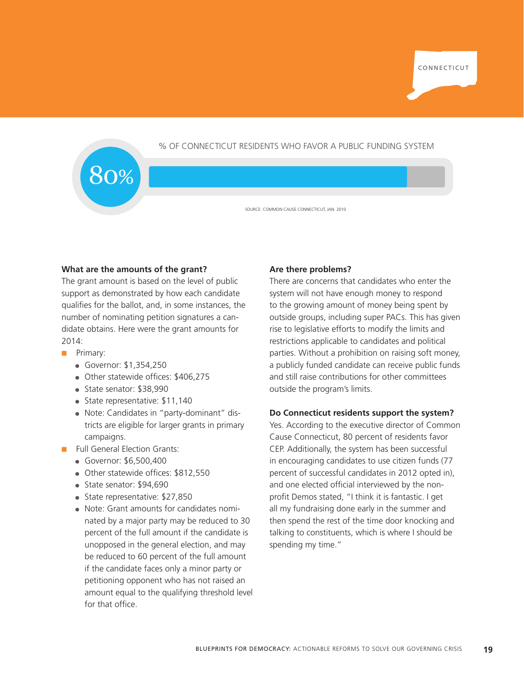#### % OF CONNECTICUT RESIDENTS WHO FAVOR A PUBLIC FUNDING SYSTEM



SOURCE: COMMON CAUSE CONNECTICUT, JAN. 2010

#### **What are the amounts of the grant?**

The grant amount is based on the level of public support as demonstrated by how each candidate qualifies for the ballot, and, in some instances, the number of nominating petition signatures a candidate obtains. Here were the grant amounts for 2014:

- **n** Primary:
	- Governor:  $$1,354,250$
	- Other statewide offices: \$406,275
	- State senator: \$38,990
	- $\bullet$  State representative: \$11,140
	- Note: Candidates in "party-dominant" districts are eligible for larger grants in primary campaigns.
- **n** Full General Election Grants:
	- <sup>l</sup> Governor: \$6,500,400
	- Other statewide offices: \$812,550
	- $\bullet$  State senator: \$94,690
	- State representative: \$27,850
	- Note: Grant amounts for candidates nominated by a major party may be reduced to 30 percent of the full amount if the candidate is unopposed in the general election, and may be reduced to 60 percent of the full amount if the candidate faces only a minor party or petitioning opponent who has not raised an amount equal to the qualifying threshold level for that office.

#### **Are there problems?**

There are concerns that candidates who enter the system will not have enough money to respond to the growing amount of money being spent by outside groups, including super PACs. This has given rise to legislative efforts to modify the limits and restrictions applicable to candidates and political parties. Without a prohibition on raising soft money, a publicly funded candidate can receive public funds and still raise contributions for other committees outside the program's limits.

#### **Do Connecticut residents support the system?**

Yes. According to the executive director of Common Cause Connecticut, 80 percent of residents favor CEP. Additionally, the system has been successful in encouraging candidates to use citizen funds (77 percent of successful candidates in 2012 opted in), and one elected official interviewed by the nonprofit Demos stated, "I think it is fantastic. I get all my fundraising done early in the summer and then spend the rest of the time door knocking and talking to constituents, which is where I should be spending my time."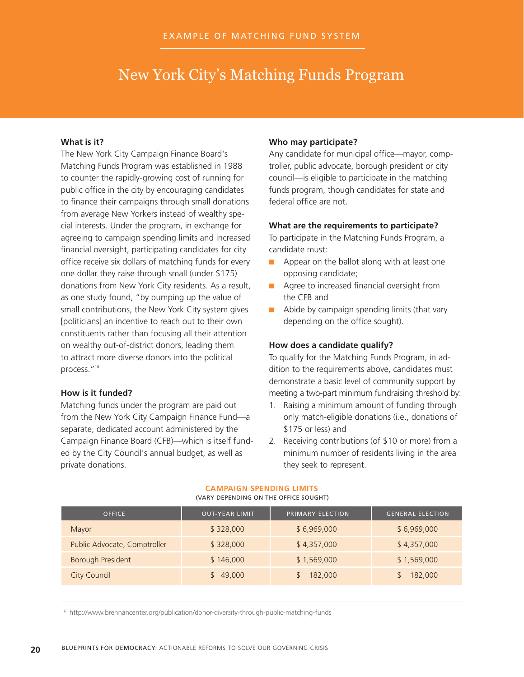# New York City's Matching Funds Program

#### **What is it?**

The New York City Campaign Finance Board's Matching Funds Program was established in 1988 to counter the rapidly-growing cost of running for public office in the city by encouraging candidates to finance their campaigns through small donations from average New Yorkers instead of wealthy special interests. Under the program, in exchange for agreeing to campaign spending limits and increased financial oversight, participating candidates for city office receive six dollars of matching funds for every one dollar they raise through small (under \$175) donations from New York City residents. As a result, as one study found, "by pumping up the value of small contributions, the New York City system gives [politicians] an incentive to reach out to their own constituents rather than focusing all their attention on wealthy out-of-district donors, leading them to attract more diverse donors into the political process."<sup>16</sup>

#### **How is it funded?**

Matching funds under the program are paid out from the New York City Campaign Finance Fund—a separate, dedicated account administered by the Campaign Finance Board (CFB)—which is itself funded by the City Council's annual budget, as well as private donations.

#### **Who may participate?**

Any candidate for municipal office—mayor, comptroller, public advocate, borough president or city council—is eligible to participate in the matching funds program, though candidates for state and federal office are not.

#### **What are the requirements to participate?**

To participate in the Matching Funds Program, a candidate must:

- Appear on the ballot along with at least one opposing candidate;
- **n** Agree to increased financial oversight from the CFB and
- $\blacksquare$  Abide by campaign spending limits (that vary depending on the office sought).

#### **How does a candidate qualify?**

To qualify for the Matching Funds Program, in addition to the requirements above, candidates must demonstrate a basic level of community support by meeting a two-part minimum fundraising threshold by:

- 1. Raising a minimum amount of funding through only match-eligible donations (i.e., donations of \$175 or less) and
- 2. Receiving contributions (of \$10 or more) from a minimum number of residents living in the area they seek to represent.

#### **CAMPAIGN SPENDING LIMITS**

#### (VARY DEPENDING ON THE OFFICE SOUGHT)

| <b>OFFICE</b>                | <b>OUT-YEAR LIMIT</b> | PRIMARY ELECTION | <b>GENERAL ELECTION</b> |
|------------------------------|-----------------------|------------------|-------------------------|
| Mayor                        | \$328,000             | \$6,969,000      | \$6,969,000             |
| Public Advocate, Comptroller | \$328,000             | \$4,357,000      | \$4,357,000             |
| Borough President            | \$146,000             | \$1,569,000      | \$1,569,000             |
| City Council                 | 49,000                | 182,000          | 182,000                 |

<sup>16</sup> http://www.brennancenter.org/publication/donor-diversity-through-public-matching-funds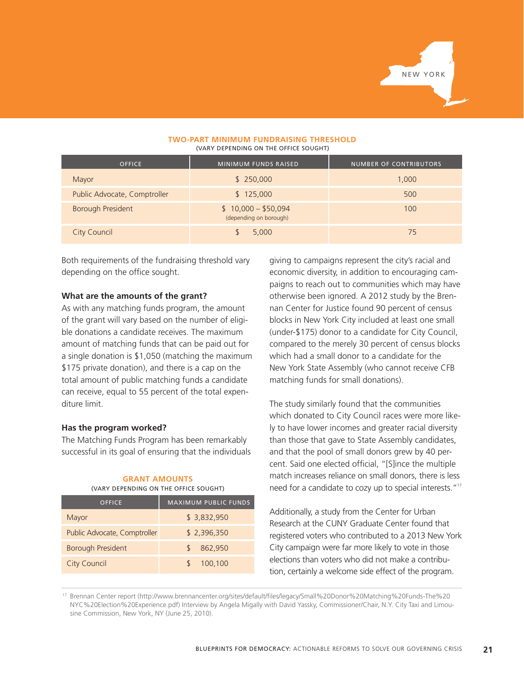

#### **TWO-PART MINIMUM FUNDRAISING THRESHOLD** (VARY DEPENDING ON THE OFFICE SOUGHT)

| <b>OFFICE</b>                | <b>MINIMUM FUNDS RAISED</b>                   | NUMBER OF CONTRIBUTORS |
|------------------------------|-----------------------------------------------|------------------------|
| Mayor                        | \$250,000                                     | 1,000                  |
| Public Advocate, Comptroller | \$125,000                                     | 500                    |
| Borough President            | $$10,000 - $50,094$<br>(depending on borough) | 100                    |
| City Council                 | 5,000                                         | 75                     |

Both requirements of the fundraising threshold vary depending on the office sought.

#### **What are the amounts of the grant?**

As with any matching funds program, the amount of the grant will vary based on the number of eligible donations a candidate receives. The maximum amount of matching funds that can be paid out for a single donation is \$1,050 (matching the maximum \$175 private donation), and there is a cap on the total amount of public matching funds a candidate can receive, equal to 55 percent of the total expenditure limit.

#### **Has the program worked?**

The Matching Funds Program has been remarkably successful in its goal of ensuring that the individuals

#### **GRANT AMOUNTS** (VARY DEPENDING ON THE OFFICE SOUGHT)

| <b>OFFICE</b>                | <b>MAXIMUM PUBLIC FUNDS</b> |  |
|------------------------------|-----------------------------|--|
| Mayor                        | \$3,832,950                 |  |
| Public Advocate, Comptroller | \$2,396,350                 |  |
| Borough President            | 862,950                     |  |
| City Council                 | 100,100                     |  |

giving to campaigns represent the city's racial and economic diversity, in addition to encouraging campaigns to reach out to communities which may have otherwise been ignored. A 2012 study by the Brennan Center for Justice found 90 percent of census blocks in New York City included at least one small (under-\$175) donor to a candidate for City Council, compared to the merely 30 percent of census blocks which had a small donor to a candidate for the New York State Assembly (who cannot receive CFB matching funds for small donations).

The study similarly found that the communities which donated to City Council races were more likely to have lower incomes and greater racial diversity than those that gave to State Assembly candidates, and that the pool of small donors grew by 40 percent. Said one elected official, "[S]ince the multiple match increases reliance on small donors, there is less need for a candidate to cozy up to special interests."<sup>17</sup>

Additionally, a study from the Center for Urban Research at the CUNY Graduate Center found that registered voters who contributed to a 2013 New York City campaign were far more likely to vote in those elections than voters who did not make a contribution, certainly a welcome side effect of the program.

<sup>17</sup> Brennan Center report (http://www.brennancenter.org/sites/default/files/legacy/Small%20Donor%20Matching%20Funds-The%20 NYC%20Election%20Experience.pdf) Interview by Angela Migally with David Yassky, Commissioner/Chair, N.Y. City Taxi and Limousine Commission, New York, NY (June 25, 2010).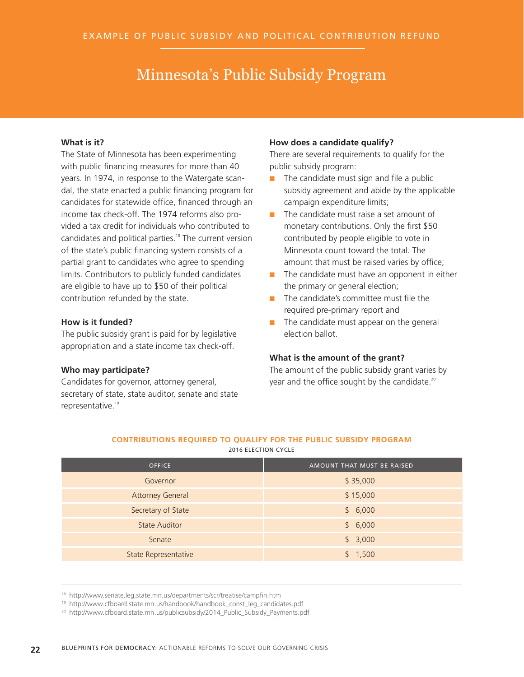# Minnesota's Public Subsidy Program

#### **What is it?**

The State of Minnesota has been experimenting with public financing measures for more than 40 years. In 1974, in response to the Watergate scandal, the state enacted a public financing program for candidates for statewide office, financed through an income tax check-off. The 1974 reforms also provided a tax credit for individuals who contributed to candidates and political parties.<sup>18</sup> The current version of the state's public financing system consists of a partial grant to candidates who agree to spending limits. Contributors to publicly funded candidates are eligible to have up to \$50 of their political contribution refunded by the state.

#### **How is it funded?**

The public subsidy grant is paid for by legislative appropriation and a state income tax check-off.

#### **Who may participate?**

Candidates for governor, attorney general, secretary of state, state auditor, senate and state representative.<sup>19</sup>

#### **How does a candidate qualify?**

There are several requirements to qualify for the public subsidy program:

- $\blacksquare$  The candidate must sign and file a public subsidy agreement and abide by the applicable campaign expenditure limits;
- $\blacksquare$  The candidate must raise a set amount of monetary contributions. Only the first \$50 contributed by people eligible to vote in Minnesota count toward the total. The amount that must be raised varies by office;
- $\blacksquare$  The candidate must have an opponent in either the primary or general election;
- **n** The candidate's committee must file the required pre-primary report and
- $\blacksquare$  The candidate must appear on the general election ballot.

#### **What is the amount of the grant?**

The amount of the public subsidy grant varies by year and the office sought by the candidate.<sup>20</sup>

| <b>2016 ELECTION CYCLE</b> |  |  |  |  |
|----------------------------|--|--|--|--|
| AMOUNT THAT MUST BE RAISED |  |  |  |  |
| \$35,000                   |  |  |  |  |
| \$15,000                   |  |  |  |  |
| \$6,000                    |  |  |  |  |
| \$6,000                    |  |  |  |  |
| \$3,000                    |  |  |  |  |
| \$1,500                    |  |  |  |  |
|                            |  |  |  |  |

# **CONTRIBUTIONS REQUIRED TO QUALIFY FOR THE PUBLIC SUBSIDY PROGRAM**

<sup>18</sup> http://www.senate.leg.state.mn.us/departments/scr/treatise/campfin.htm<br><sup>19</sup> http://www.cfboard.state.mn.us/handbook/handbook\_const\_leg\_candidates.pdf<br><sup>20</sup> http://www.cfboard.state.mn.us/publicsubsidy/2014\_Public\_Subsi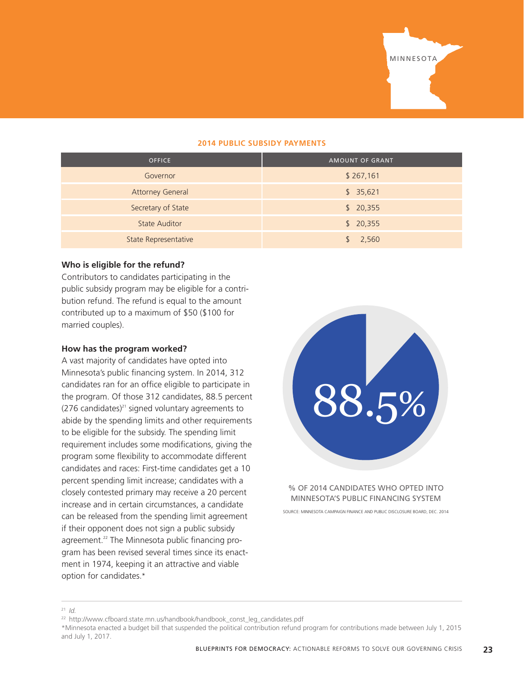

#### **2014 PUBLIC SUBSIDY PAYMENTS**

| <b>OFFICE</b>           | AMOUNT OF GRANT |
|-------------------------|-----------------|
| Governor                | \$267,161       |
| <b>Attorney General</b> | \$35,621        |
| Secretary of State      | \$20,355        |
| <b>State Auditor</b>    | \$20,355        |
| State Representative    | 2,560           |

#### **Who is eligible for the refund?**

Contributors to candidates participating in the public subsidy program may be eligible for a contribution refund. The refund is equal to the amount contributed up to a maximum of \$50 (\$100 for married couples).

#### **How has the program worked?**

A vast majority of candidates have opted into Minnesota's public financing system. In 2014, 312 candidates ran for an office eligible to participate in the program. Of those 312 candidates, 88.5 percent  $(276 \text{ candidates})^{21}$  signed voluntary agreements to abide by the spending limits and other requirements to be eligible for the subsidy. The spending limit requirement includes some modifications, giving the program some flexibility to accommodate different candidates and races: First-time candidates get a 10 percent spending limit increase; candidates with a closely contested primary may receive a 20 percent increase and in certain circumstances, a candidate can be released from the spending limit agreement if their opponent does not sign a public subsidy agreement.<sup>22</sup> The Minnesota public financing program has been revised several times since its enactment in 1974, keeping it an attractive and viable option for candidates.\*



#### % OF 2014 CANDIDATES WHO OPTED INTO MINNESOTA'S PUBLIC FINANCING SYSTEM

SOURCE: MINNESOTA CAMPAIGN FINANCE AND PUBLIC DISCLOSURE BOARD, DEC. 2014

<sup>21</sup>*Id.*

<sup>22</sup> http://www.cfboard.state.mn.us/handbook/handbook\_const\_leg\_candidates.pdf

<sup>\*</sup>Minnesota enacted a budget bill that suspended the political contribution refund program for contributions made between July 1, 2015 and July 1, 2017.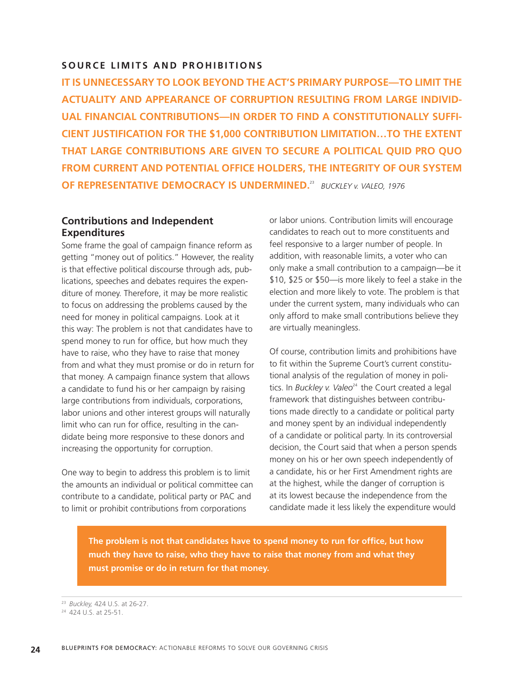#### **SOURCE LIMITS AND PROHIBITIONS**

**IT IS UNNECESSARY TO LOOK BEYOND THE ACT'S PRIMARY PURPOSE—TO LIMIT THE ACTUALITY AND APPEARANCE OF CORRUPTION RESULTING FROM LARGE INDIVID-UAL FINANCIAL CONTRIBUTIONS—IN ORDER TO FIND A CONSTITUTIONALLY SUFFI-CIENT JUSTIFICATION FOR THE \$1,000 CONTRIBUTION LIMITATION…TO THE EXTENT THAT LARGE CONTRIBUTIONS ARE GIVEN TO SECURE A POLITICAL QUID PRO QUO FROM CURRENT AND POTENTIAL OFFICE HOLDERS, THE INTEGRITY OF OUR SYSTEM OF REPRESENTATIVE DEMOCRACY IS UNDERMINED.**<sup>23</sup> *BUCKLEY v. VALEO, 1976*

#### **Contributions and Independent Expenditures**

Some frame the goal of campaign finance reform as getting "money out of politics." However, the reality is that effective political discourse through ads, publications, speeches and debates requires the expenditure of money. Therefore, it may be more realistic to focus on addressing the problems caused by the need for money in political campaigns. Look at it this way: The problem is not that candidates have to spend money to run for office, but how much they have to raise, who they have to raise that money from and what they must promise or do in return for that money. A campaign finance system that allows a candidate to fund his or her campaign by raising large contributions from individuals, corporations, labor unions and other interest groups will naturally limit who can run for office, resulting in the candidate being more responsive to these donors and increasing the opportunity for corruption.

One way to begin to address this problem is to limit the amounts an individual or political committee can contribute to a candidate, political party or PAC and to limit or prohibit contributions from corporations

or labor unions. Contribution limits will encourage candidates to reach out to more constituents and feel responsive to a larger number of people. In addition, with reasonable limits, a voter who can only make a small contribution to a campaign—be it \$10, \$25 or \$50—is more likely to feel a stake in the election and more likely to vote. The problem is that under the current system, many individuals who can only afford to make small contributions believe they are virtually meaningless.

Of course, contribution limits and prohibitions have to fit within the Supreme Court's current constitutional analysis of the regulation of money in politics. In *Buckley v. Valeo*<sup>24</sup> the Court created a legal framework that distinguishes between contributions made directly to a candidate or political party and money spent by an individual independently of a candidate or political party. In its controversial decision, the Court said that when a person spends money on his or her own speech independently of a candidate, his or her First Amendment rights are at the highest, while the danger of corruption is at its lowest because the independence from the candidate made it less likely the expenditure would

**The problem is not that candidates have to spend money to run for office, but how much they have to raise, who they have to raise that money from and what they must promise or do in return for that money.**

<sup>23</sup>*Buckley,* 424 U.S. at 26-27.

 $24$  424 U.S. at 25-51.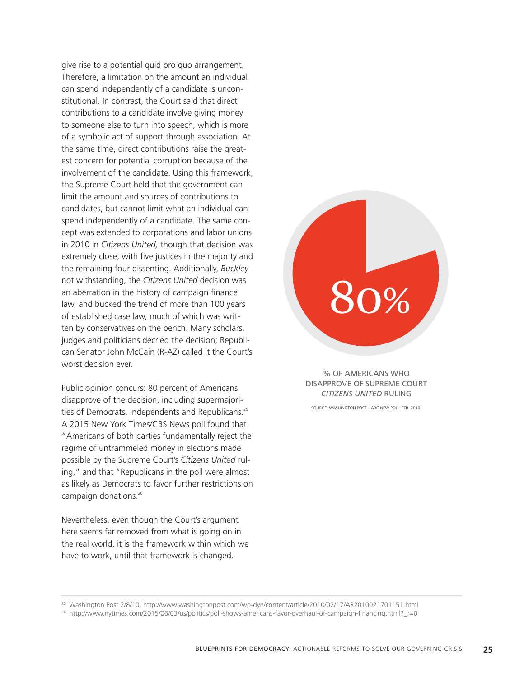give rise to a potential quid pro quo arrangement. Therefore, a limitation on the amount an individual can spend independently of a candidate is unconstitutional. In contrast, the Court said that direct contributions to a candidate involve giving money to someone else to turn into speech, which is more of a symbolic act of support through association. At the same time, direct contributions raise the greatest concern for potential corruption because of the involvement of the candidate. Using this framework, the Supreme Court held that the government can limit the amount and sources of contributions to candidates, but cannot limit what an individual can spend independently of a candidate. The same concept was extended to corporations and labor unions in 2010 in *Citizens United,* though that decision was extremely close, with five justices in the majority and the remaining four dissenting. Additionally, *Buckley* not withstanding, the *Citizens United* decision was an aberration in the history of campaign finance law, and bucked the trend of more than 100 years of established case law, much of which was written by conservatives on the bench. Many scholars, judges and politicians decried the decision; Republican Senator John McCain (R-AZ) called it the Court's worst decision ever.

Public opinion concurs: 80 percent of Americans disapprove of the decision, including supermajorities of Democrats, independents and Republicans.<sup>25</sup> A 2015 New York Times/CBS News poll found that "Americans of both parties fundamentally reject the regime of untrammeled money in elections made possible by the Supreme Court's *Citizens United* ruling," and that "Republicans in the poll were almost as likely as Democrats to favor further restrictions on campaign donations.<sup>26</sup>

Nevertheless, even though the Court's argument here seems far removed from what is going on in the real world, it is the framework within which we have to work, until that framework is changed.



% OF AMERICANS WHO DISAPPROVE OF SUPREME COURT *CITIZENS UNITED* RULING

SOURCE: WASHINGTON POST – ABC NEW POLL, FEB. 2010

<sup>25</sup> Washington Post 2/8/10, http://www.washingtonpost.com/wp-dyn/content/article/2010/02/17/AR2010021701151.html

<sup>26</sup> http://www.nytimes.com/2015/06/03/us/politics/poll-shows-americans-favor-overhaul-of-campaign-financing.html?\_r=0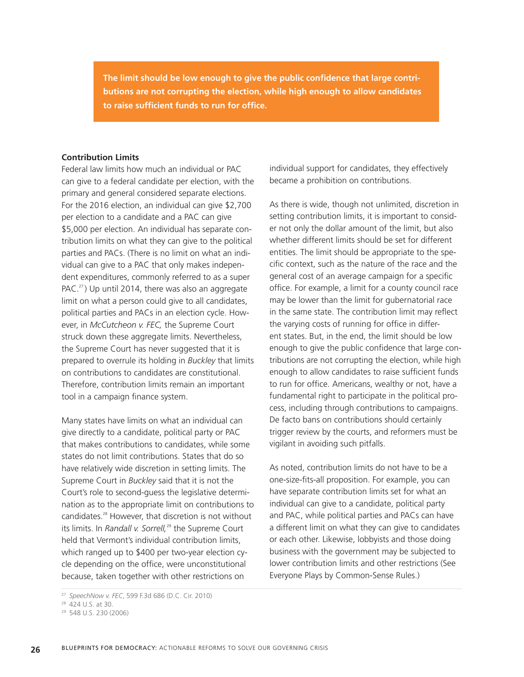**The limit should be low enough to give the public confidence that large contributions are not corrupting the election, while high enough to allow candidates to raise sufficient funds to run for office.**

#### **Contribution Limits**

Federal law limits how much an individual or PAC can give to a federal candidate per election, with the primary and general considered separate elections. For the 2016 election, an individual can give \$2,700 per election to a candidate and a PAC can give \$5,000 per election. An individual has separate contribution limits on what they can give to the political parties and PACs. (There is no limit on what an individual can give to a PAC that only makes independent expenditures, commonly referred to as a super PAC. $27$ ) Up until 2014, there was also an aggregate limit on what a person could give to all candidates, political parties and PACs in an election cycle. However, in *McCutcheon v. FEC,* the Supreme Court struck down these aggregate limits. Nevertheless, the Supreme Court has never suggested that it is prepared to overrule its holding in *Buckley* that limits on contributions to candidates are constitutional. Therefore, contribution limits remain an important tool in a campaign finance system.

Many states have limits on what an individual can give directly to a candidate, political party or PAC that makes contributions to candidates, while some states do not limit contributions. States that do so have relatively wide discretion in setting limits. The Supreme Court in *Buckley* said that it is not the Court's role to second-guess the legislative determination as to the appropriate limit on contributions to candidates.28 However, that discretion is not without its limits. In *Randall v. Sorrell*,<sup>29</sup> the Supreme Court held that Vermont's individual contribution limits, which ranged up to \$400 per two-year election cycle depending on the office, were unconstitutional because, taken together with other restrictions on

individual support for candidates, they effectively became a prohibition on contributions.

As there is wide, though not unlimited, discretion in setting contribution limits, it is important to consider not only the dollar amount of the limit, but also whether different limits should be set for different entities. The limit should be appropriate to the specific context, such as the nature of the race and the general cost of an average campaign for a specific office. For example, a limit for a county council race may be lower than the limit for gubernatorial race in the same state. The contribution limit may reflect the varying costs of running for office in different states. But, in the end, the limit should be low enough to give the public confidence that large contributions are not corrupting the election, while high enough to allow candidates to raise sufficient funds to run for office. Americans, wealthy or not, have a fundamental right to participate in the political process, including through contributions to campaigns. De facto bans on contributions should certainly trigger review by the courts, and reformers must be vigilant in avoiding such pitfalls.

As noted, contribution limits do not have to be a one-size-fits-all proposition. For example, you can have separate contribution limits set for what an individual can give to a candidate, political party and PAC, while political parties and PACs can have a different limit on what they can give to candidates or each other. Likewise, lobbyists and those doing business with the government may be subjected to lower contribution limits and other restrictions (See Everyone Plays by Common-Sense Rules.)

<sup>27</sup> *SpeechNow v. FEC*, 599 F.3d 686 (D.C. Cir. 2010)

<sup>28 424</sup> U.S. at 30.

<sup>29 548</sup> U.S. 230 (2006)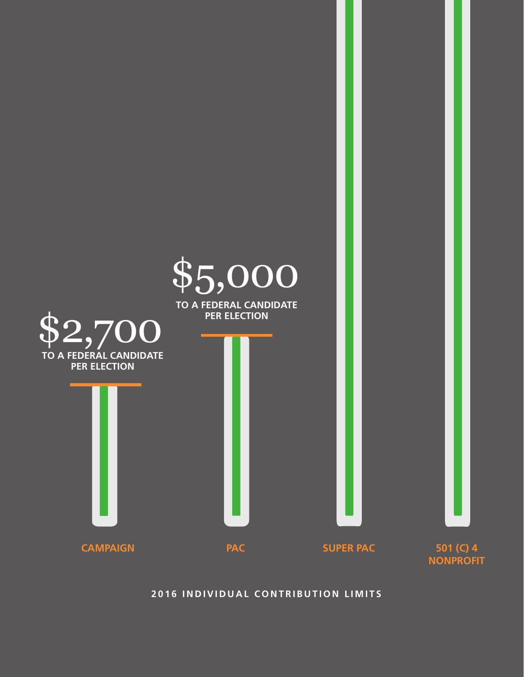

**2016 INDIVIDUAL CONTRIBUTION LIMITS**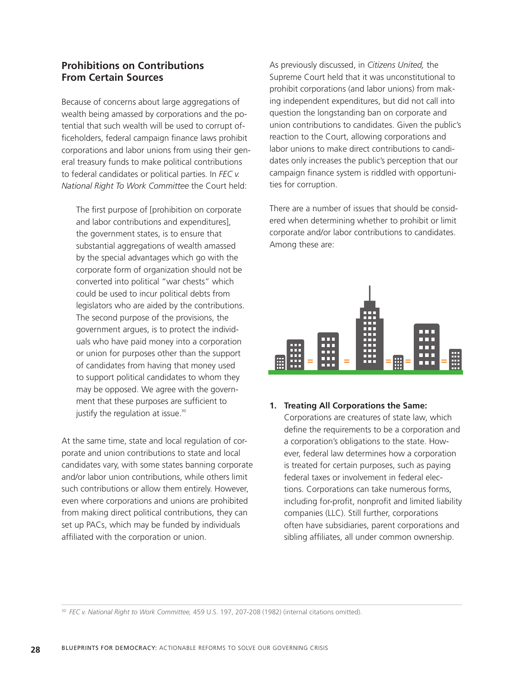#### **Prohibitions on Contributions From Certain Sources**

Because of concerns about large aggregations of wealth being amassed by corporations and the potential that such wealth will be used to corrupt officeholders, federal campaign finance laws prohibit corporations and labor unions from using their general treasury funds to make political contributions to federal candidates or political parties. In *FEC v. National Right To Work Committee* the Court held:

The first purpose of [prohibition on corporate and labor contributions and expenditures], the government states, is to ensure that substantial aggregations of wealth amassed by the special advantages which go with the corporate form of organization should not be converted into political "war chests" which could be used to incur political debts from legislators who are aided by the contributions. The second purpose of the provisions, the government argues, is to protect the individuals who have paid money into a corporation or union for purposes other than the support of candidates from having that money used to support political candidates to whom they may be opposed. We agree with the government that these purposes are sufficient to justify the regulation at issue.<sup>30</sup>

At the same time, state and local regulation of corporate and union contributions to state and local candidates vary, with some states banning corporate and/or labor union contributions, while others limit such contributions or allow them entirely. However, even where corporations and unions are prohibited from making direct political contributions, they can set up PACs, which may be funded by individuals affiliated with the corporation or union.

As previously discussed, in *Citizens United,* the Supreme Court held that it was unconstitutional to prohibit corporations (and labor unions) from making independent expenditures, but did not call into question the longstanding ban on corporate and union contributions to candidates. Given the public's reaction to the Court, allowing corporations and labor unions to make direct contributions to candidates only increases the public's perception that our campaign finance system is riddled with opportunities for corruption.

There are a number of issues that should be considered when determining whether to prohibit or limit corporate and/or labor contributions to candidates. Among these are:



#### **1. Treating All Corporations the Same:**

Corporations are creatures of state law, which define the requirements to be a corporation and a corporation's obligations to the state. However, federal law determines how a corporation is treated for certain purposes, such as paying federal taxes or involvement in federal elections. Corporations can take numerous forms, including for-profit, nonprofit and limited liability companies (LLC). Still further, corporations often have subsidiaries, parent corporations and sibling affiliates, all under common ownership.

<sup>30</sup> *FEC v. National Right to Work Committee,* 459 U.S. 197, 207-208 (1982) (internal citations omitted).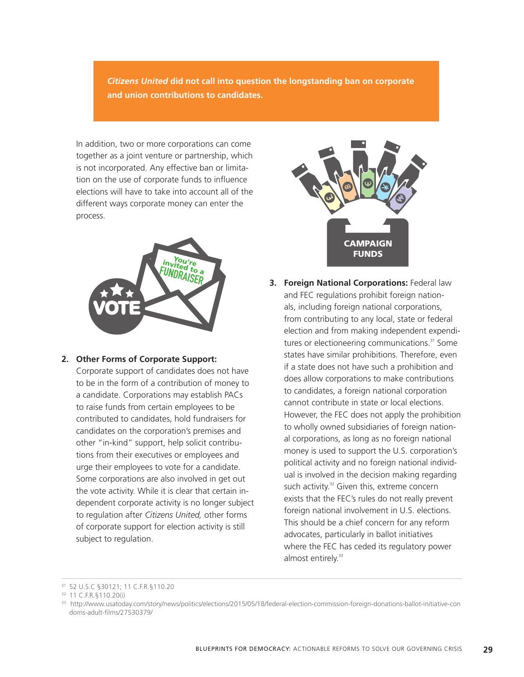*Citizens United* **did not call into question the longstanding ban on corporate and union contributions to candidates.**

In addition, two or more corporations can come together as a joint venture or partnership, which is not incorporated. Any effective ban or limitation on the use of corporate funds to influence elections will have to take into account all of the different ways corporate money can enter the process.



#### **2. Other Forms of Corporate Support:**

Corporate support of candidates does not have to be in the form of a contribution of money to a candidate. Corporations may establish PACs to raise funds from certain employees to be contributed to candidates, hold fundraisers for candidates on the corporation's premises and other "in-kind" support, help solicit contributions from their executives or employees and urge their employees to vote for a candidate. Some corporations are also involved in get out the vote activity. While it is clear that certain independent corporate activity is no longer subject to regulation after *Citizens United,* other forms of corporate support for election activity is still subject to regulation.



**3. Foreign National Corporations:** Federal law and FEC regulations prohibit foreign nationals, including foreign national corporations, from contributing to any local, state or federal election and from making independent expenditures or electioneering communications.<sup>31</sup> Some states have similar prohibitions. Therefore, even if a state does not have such a prohibition and does allow corporations to make contributions to candidates, a foreign national corporation cannot contribute in state or local elections. However, the FEC does not apply the prohibition to wholly owned subsidiaries of foreign national corporations, as long as no foreign national money is used to support the U.S. corporation's political activity and no foreign national individual is involved in the decision making regarding such activity.<sup>32</sup> Given this, extreme concern exists that the FEC's rules do not really prevent foreign national involvement in U.S. elections. This should be a chief concern for any reform advocates, particularly in ballot initiatives where the FEC has ceded its regulatory power almost entirely.<sup>33</sup>

<sup>31 52</sup> U.S.C §30121; 11 C.F.R.§110.20

<sup>32 11</sup> C.F.R.§110.20(i)

<sup>33</sup> http://www.usatoday.com/story/news/politics/elections/2015/05/18/federal-election-commission-foreign-donations-ballot-initiative-con doms-adult-films/27530379/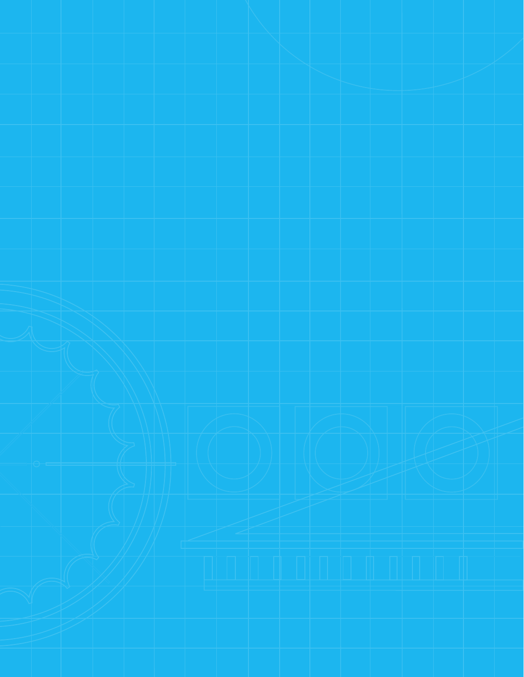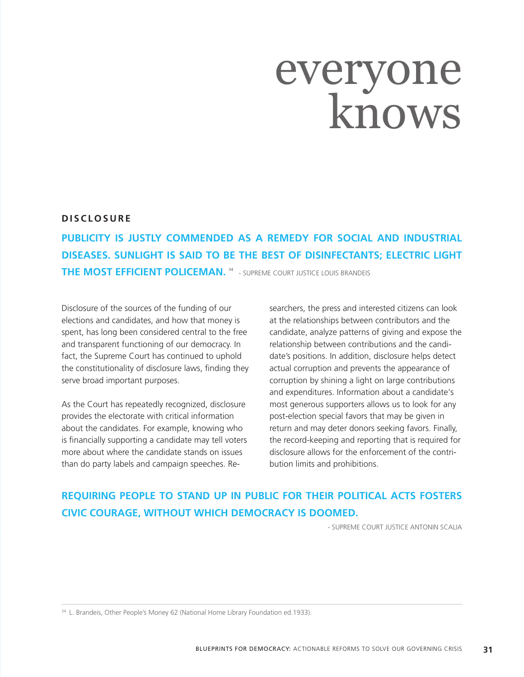# everyone knows

#### **D I S C L O S U R E**

**PUBLICITY IS JUSTLY COMMENDED AS A REMEDY FOR SOCIAL AND INDUSTRIAL DISEASES. SUNLIGHT IS SAID TO BE THE BEST OF DISINFECTANTS; ELECTRIC LIGHT THE MOST EFFICIENT POLICEMAN.** <sup>34</sup> - SUPREME COURT JUSTICE LOUIS BRANDEIS

Disclosure of the sources of the funding of our elections and candidates, and how that money is spent, has long been considered central to the free and transparent functioning of our democracy. In fact, the Supreme Court has continued to uphold the constitutionality of disclosure laws, finding they serve broad important purposes.

As the Court has repeatedly recognized, disclosure provides the electorate with critical information about the candidates. For example, knowing who is financially supporting a candidate may tell voters more about where the candidate stands on issues than do party labels and campaign speeches. Researchers, the press and interested citizens can look at the relationships between contributors and the candidate, analyze patterns of giving and expose the relationship between contributions and the candidate's positions. In addition, disclosure helps detect actual corruption and prevents the appearance of corruption by shining a light on large contributions and expenditures. Information about a candidate's most generous supporters allows us to look for any post-election special favors that may be given in return and may deter donors seeking favors. Finally, the record-keeping and reporting that is required for disclosure allows for the enforcement of the contribution limits and prohibitions.

## **REQUIRING PEOPLE TO STAND UP IN PUBLIC FOR THEIR POLITICAL ACTS FOSTERS CIVIC COURAGE, WITHOUT WHICH DEMOCRACY IS DOOMED.**

- SUPREME COURT JUSTICE ANTONIN SCALIA

<sup>34</sup> L. Brandeis, Other People's Money 62 (National Home Library Foundation ed.1933).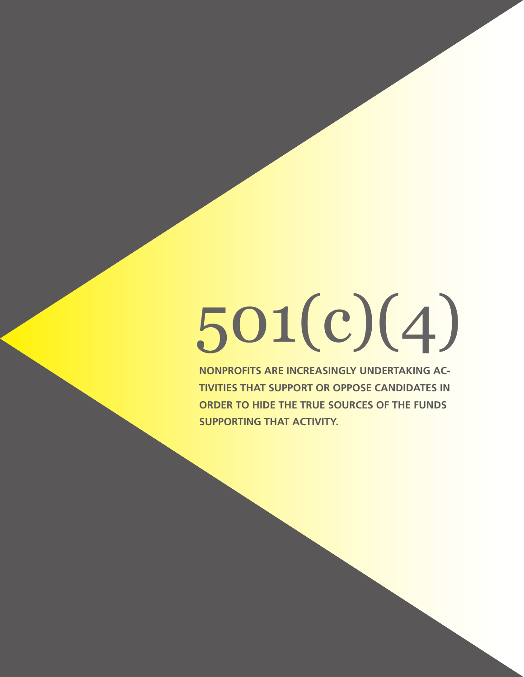# 501(c)(4)

**NONPROFITS ARE INCREASINGLY UNDERTAKING AC-TIVITIES THAT SUPPORT OR OPPOSE CANDIDATES IN ORDER TO HIDE THE TRUE SOURCES OF THE FUNDS SUPPORTING THAT ACTIVITY.**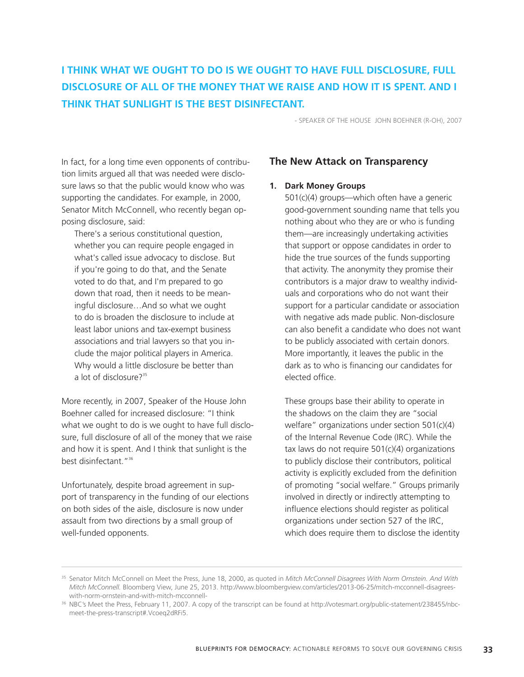# **I THINK WHAT WE OUGHT TO DO IS WE OUGHT TO HAVE FULL DISCLOSURE, FULL DISCLOSURE OF ALL OF THE MONEY THAT WE RAISE AND HOW IT IS SPENT. AND I THINK THAT SUNLIGHT IS THE BEST DISINFECTANT.**

- SPEAKER OF THE HOUSE JOHN BOEHNER (R-OH), 2007

In fact, for a long time even opponents of contribution limits argued all that was needed were disclosure laws so that the public would know who was supporting the candidates. For example, in 2000, Senator Mitch McConnell, who recently began opposing disclosure, said:

There's a serious constitutional question, whether you can require people engaged in what's called issue advocacy to disclose. But if you're going to do that, and the Senate voted to do that, and I'm prepared to go down that road, then it needs to be meaningful disclosure…And so what we ought to do is broaden the disclosure to include at least labor unions and tax-exempt business associations and trial lawyers so that you include the major political players in America. Why would a little disclosure be better than a lot of disclosure?<sup>35</sup>

More recently, in 2007, Speaker of the House John Boehner called for increased disclosure: "I think what we ought to do is we ought to have full disclosure, full disclosure of all of the money that we raise and how it is spent. And I think that sunlight is the best disinfectant."36

Unfortunately, despite broad agreement in support of transparency in the funding of our elections on both sides of the aisle, disclosure is now under assault from two directions by a small group of well-funded opponents.

#### **The New Attack on Transparency**

#### **1. Dark Money Groups**

501(c)(4) groups—which often have a generic good-government sounding name that tells you nothing about who they are or who is funding them—are increasingly undertaking activities that support or oppose candidates in order to hide the true sources of the funds supporting that activity. The anonymity they promise their contributors is a major draw to wealthy individuals and corporations who do not want their support for a particular candidate or association with negative ads made public. Non-disclosure can also benefit a candidate who does not want to be publicly associated with certain donors. More importantly, it leaves the public in the dark as to who is financing our candidates for elected office.

These groups base their ability to operate in the shadows on the claim they are "social welfare" organizations under section 501(c)(4) of the Internal Revenue Code (IRC). While the tax laws do not require  $501(c)(4)$  organizations to publicly disclose their contributors, political activity is explicitly excluded from the definition of promoting "social welfare." Groups primarily involved in directly or indirectly attempting to influence elections should register as political organizations under section 527 of the IRC, which does require them to disclose the identity

<sup>&</sup>lt;sup>35</sup> Senator Mitch McConnell on Meet the Press, June 18, 2000, as quoted in *Mitch McConnell Disagrees With Norm Ornstein. And With Mitch McConnell.* Bloomberg View, June 25, 2013. http://www.bloombergview.com/articles/2013-06-25/mitch-mcconnell-disagreeswith-norm-ornstein-and-with-mitch-mcconnell-

<sup>&</sup>lt;sup>36</sup> NBC's Meet the Press, February 11, 2007. A copy of the transcript can be found at http://votesmart.org/public-statement/238455/nbcmeet-the-press-transcript#.Vcoeq2dRFi5.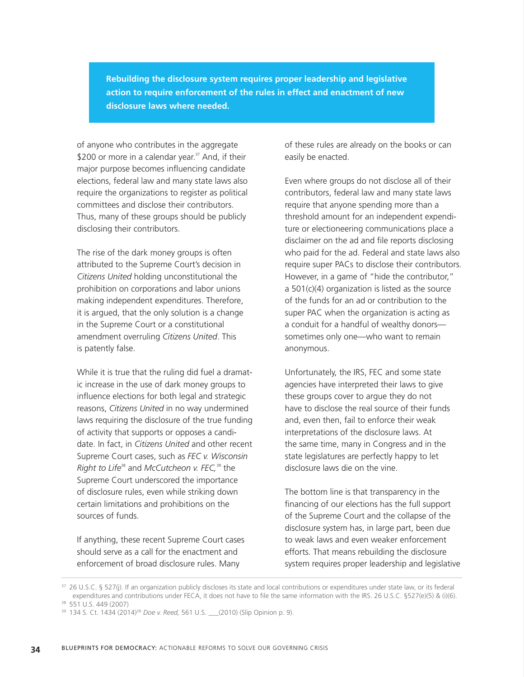**Rebuilding the disclosure system requires proper leadership and legislative action to require enforcement of the rules in effect and enactment of new disclosure laws where needed.**

of anyone who contributes in the aggregate \$200 or more in a calendar year.<sup>37</sup> And, if their major purpose becomes influencing candidate elections, federal law and many state laws also require the organizations to register as political committees and disclose their contributors. Thus, many of these groups should be publicly disclosing their contributors.

The rise of the dark money groups is often attributed to the Supreme Court's decision in *Citizens United* holding unconstitutional the prohibition on corporations and labor unions making independent expenditures. Therefore, it is argued, that the only solution is a change in the Supreme Court or a constitutional amendment overruling *Citizens United*. This is patently false.

While it is true that the ruling did fuel a dramatic increase in the use of dark money groups to influence elections for both legal and strategic reasons, *Citizens United* in no way undermined laws requiring the disclosure of the true funding of activity that supports or opposes a candidate. In fact, in *Citizens United* and other recent Supreme Court cases, such as *FEC v. Wisconsin Right to Life*<sup>38</sup> and *McCutcheon v. FEC*,<sup>39</sup> the Supreme Court underscored the importance of disclosure rules, even while striking down certain limitations and prohibitions on the sources of funds.

If anything, these recent Supreme Court cases should serve as a call for the enactment and enforcement of broad disclosure rules. Many

of these rules are already on the books or can easily be enacted.

Even where groups do not disclose all of their contributors, federal law and many state laws require that anyone spending more than a threshold amount for an independent expenditure or electioneering communications place a disclaimer on the ad and file reports disclosing who paid for the ad. Federal and state laws also require super PACs to disclose their contributors. However, in a game of "hide the contributor," a 501(c)(4) organization is listed as the source of the funds for an ad or contribution to the super PAC when the organization is acting as a conduit for a handful of wealthy donors sometimes only one—who want to remain anonymous.

Unfortunately, the IRS, FEC and some state agencies have interpreted their laws to give these groups cover to argue they do not have to disclose the real source of their funds and, even then, fail to enforce their weak interpretations of the disclosure laws. At the same time, many in Congress and in the state legislatures are perfectly happy to let disclosure laws die on the vine.

The bottom line is that transparency in the financing of our elections has the full support of the Supreme Court and the collapse of the disclosure system has, in large part, been due to weak laws and even weaker enforcement efforts. That means rebuilding the disclosure system requires proper leadership and legislative

<sup>37 26</sup> U.S.C. § 527(j). If an organization publicly discloses its state and local contributions or expenditures under state law, or its federal expenditures and contributions under FECA, it does not have to file the same information with the IRS. 26 U.S.C. §527(e)(5) & (i)(6). 38 551 U.S. 449 (2007)

<sup>39</sup> 134 S. Ct. 1434 (2014)39 *Doe v. Reed,* 561 U.S. \_\_\_(2010) (Slip Opinion p. 9).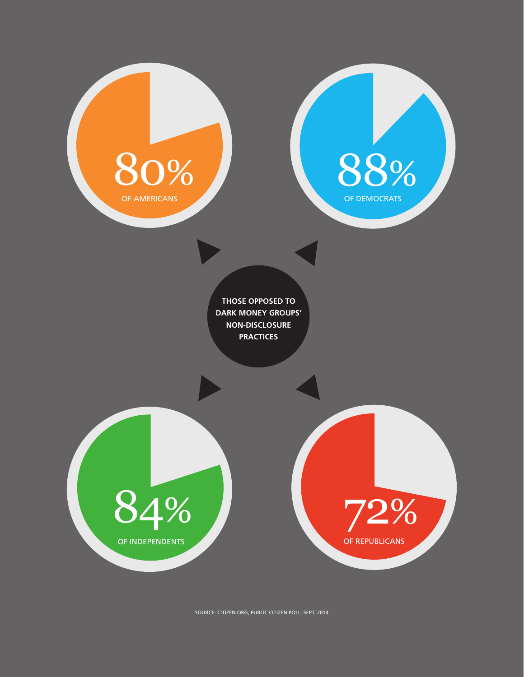

SOURCE: CITIZEN.ORG, PUBLIC CITIZEN POLL, SEPT. 2014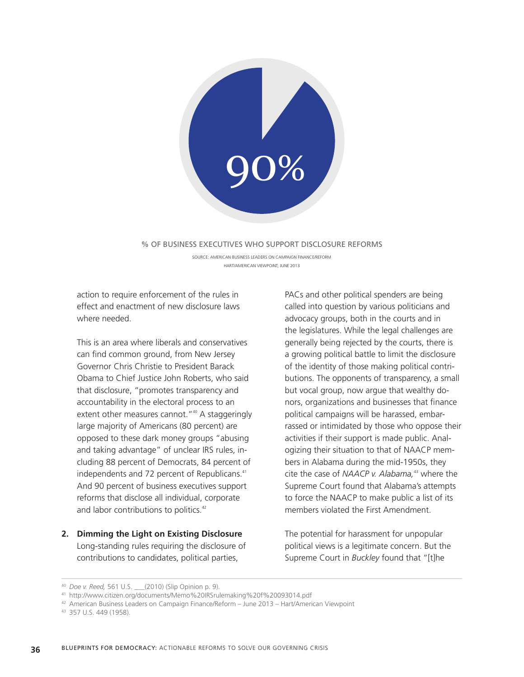

% OF BUSINESS EXECUTIVES WHO SUPPORT DISCLOSURE REFORMS

SOURCE: AMERICAN BUSINESS LEADERS ON CAMPAIGN FINANCE/REFORM HART/AMERICAN VIEWPOINT, JUNE 2013

action to require enforcement of the rules in effect and enactment of new disclosure laws where needed.

This is an area where liberals and conservatives can find common ground, from New Jersey Governor Chris Christie to President Barack Obama to Chief Justice John Roberts, who said that disclosure, "promotes transparency and accountability in the electoral process to an extent other measures cannot."<sup>40</sup> A staggeringly large majority of Americans (80 percent) are opposed to these dark money groups "abusing and taking advantage" of unclear IRS rules, including 88 percent of Democrats, 84 percent of independents and 72 percent of Republicans.<sup>41</sup> And 90 percent of business executives support reforms that disclose all individual, corporate and labor contributions to politics.<sup>42</sup>

**2. Dimming the Light on Existing Disclosure** Long-standing rules requiring the disclosure of contributions to candidates, political parties,

PACs and other political spenders are being called into question by various politicians and advocacy groups, both in the courts and in the legislatures. While the legal challenges are generally being rejected by the courts, there is a growing political battle to limit the disclosure of the identity of those making political contributions. The opponents of transparency, a small but vocal group, now argue that wealthy donors, organizations and businesses that finance political campaigns will be harassed, embarrassed or intimidated by those who oppose their activities if their support is made public. Analogizing their situation to that of NAACP members in Alabama during the mid-1950s, they cite the case of *NAACP v. Alabama,*43 where the Supreme Court found that Alabama's attempts to force the NAACP to make public a list of its members violated the First Amendment.

The potential for harassment for unpopular political views is a legitimate concern. But the Supreme Court in *Buckley* found that "[t]he

<sup>40</sup>*Doe v. Reed,* 561 U.S. \_\_\_(2010) (Slip Opinion p. 9).

<sup>41</sup> http://www.citizen.org/documents/Memo%20IRSrulemaking%20f%20093014.pdf

<sup>42</sup> American Business Leaders on Campaign Finance/Reform – June 2013 – Hart/American Viewpoint

<sup>43 357</sup> U.S. 449 (1958).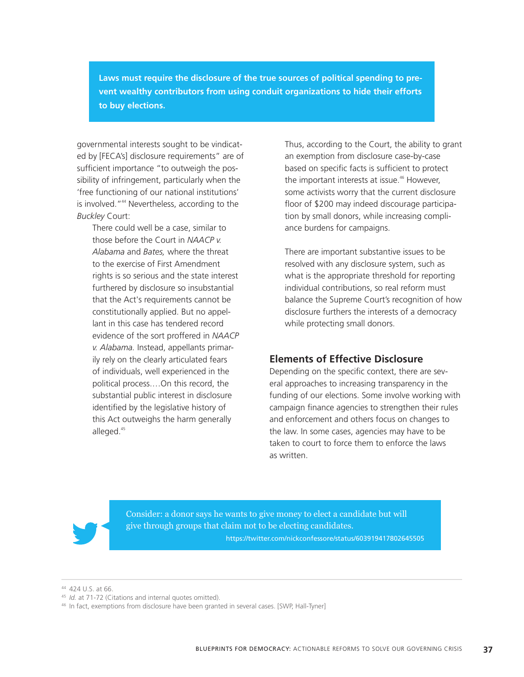**Laws must require the disclosure of the true sources of political spending to prevent wealthy contributors from using conduit organizations to hide their efforts to buy elections.**

governmental interests sought to be vindicated by [FECA's] disclosure requirements" are of sufficient importance "to outweigh the possibility of infringement, particularly when the 'free functioning of our national institutions' is involved."<sup>44</sup> Nevertheless, according to the *Buckley* Court:

There could well be a case, similar to those before the Court in *NAACP v. Alabama* and *Bates,* where the threat to the exercise of First Amendment rights is so serious and the state interest furthered by disclosure so insubstantial that the Act's requirements cannot be constitutionally applied. But no appellant in this case has tendered record evidence of the sort proffered in *NAACP v. Alabama.* Instead, appellants primarily rely on the clearly articulated fears of individuals, well experienced in the political process.…On this record, the substantial public interest in disclosure identified by the legislative history of this Act outweighs the harm generally alleged.<sup>45</sup>

Thus, according to the Court, the ability to grant an exemption from disclosure case-by-case based on specific facts is sufficient to protect the important interests at issue.<sup>46</sup> However, some activists worry that the current disclosure floor of \$200 may indeed discourage participation by small donors, while increasing compliance burdens for campaigns.

There are important substantive issues to be resolved with any disclosure system, such as what is the appropriate threshold for reporting individual contributions, so real reform must balance the Supreme Court's recognition of how disclosure furthers the interests of a democracy while protecting small donors.

#### **Elements of Effective Disclosure**

Depending on the specific context, there are several approaches to increasing transparency in the funding of our elections. Some involve working with campaign finance agencies to strengthen their rules and enforcement and others focus on changes to the law. In some cases, agencies may have to be taken to court to force them to enforce the laws as written.



Consider: a donor says he wants to give money to elect a candidate but will give through groups that claim not to be electing candidates. https://twitter.com/nickconfessore/status/603919417802645505

<sup>44</sup> 424 U.S. at 66.

<sup>45</sup>*Id.* at 71-72 (Citations and internal quotes omitted).

<sup>&</sup>lt;sup>46</sup> In fact, exemptions from disclosure have been granted in several cases. [SWP, Hall-Tyner]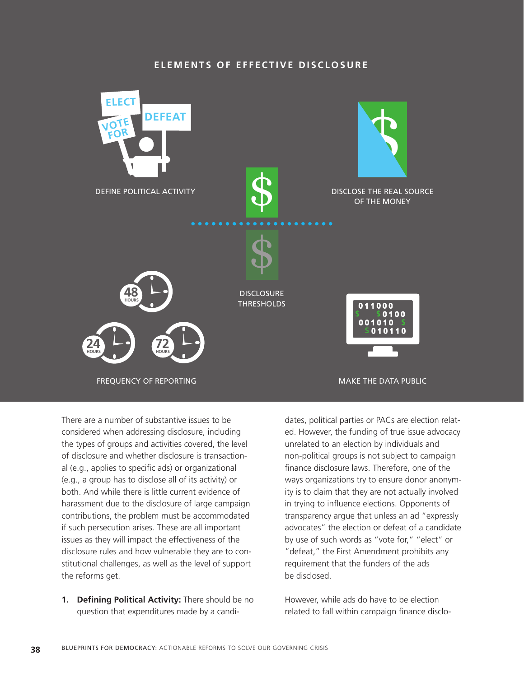#### **ELEMENTS OF EFFECTIVE DISCLOSURE**



There are a number of substantive issues to be considered when addressing disclosure, including the types of groups and activities covered, the level of disclosure and whether disclosure is transactional (e.g., applies to specific ads) or organizational (e.g., a group has to disclose all of its activity) or both. And while there is little current evidence of harassment due to the disclosure of large campaign contributions, the problem must be accommodated if such persecution arises. These are all important issues as they will impact the effectiveness of the disclosure rules and how vulnerable they are to constitutional challenges, as well as the level of support the reforms get.

**1. Defining Political Activity:** There should be no question that expenditures made by a candidates, political parties or PACs are election related. However, the funding of true issue advocacy unrelated to an election by individuals and non-political groups is not subject to campaign finance disclosure laws. Therefore, one of the ways organizations try to ensure donor anonymity is to claim that they are not actually involved in trying to influence elections. Opponents of transparency argue that unless an ad "expressly advocates" the election or defeat of a candidate by use of such words as "vote for," "elect" or "defeat," the First Amendment prohibits any requirement that the funders of the ads be disclosed.

However, while ads do have to be election related to fall within campaign finance disclo-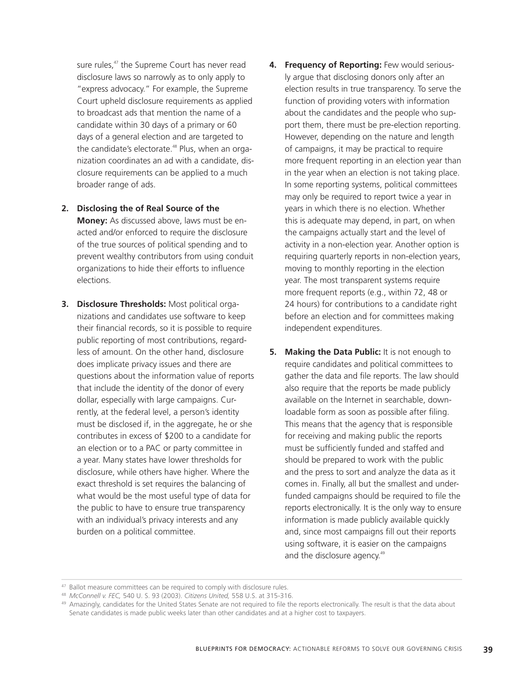sure rules,<sup>47</sup> the Supreme Court has never read disclosure laws so narrowly as to only apply to "express advocacy." For example, the Supreme Court upheld disclosure requirements as applied to broadcast ads that mention the name of a candidate within 30 days of a primary or 60 days of a general election and are targeted to the candidate's electorate.<sup>48</sup> Plus, when an organization coordinates an ad with a candidate, disclosure requirements can be applied to a much broader range of ads.

- **2. Disclosing the of Real Source of the Money:** As discussed above, laws must be enacted and/or enforced to require the disclosure of the true sources of political spending and to prevent wealthy contributors from using conduit organizations to hide their efforts to influence elections.
- **3. Disclosure Thresholds:** Most political organizations and candidates use software to keep their financial records, so it is possible to require public reporting of most contributions, regardless of amount. On the other hand, disclosure does implicate privacy issues and there are questions about the information value of reports that include the identity of the donor of every dollar, especially with large campaigns. Currently, at the federal level, a person's identity must be disclosed if, in the aggregate, he or she contributes in excess of \$200 to a candidate for an election or to a PAC or party committee in a year. Many states have lower thresholds for disclosure, while others have higher. Where the exact threshold is set requires the balancing of what would be the most useful type of data for the public to have to ensure true transparency with an individual's privacy interests and any burden on a political committee.
- **4. Frequency of Reporting:** Few would seriously argue that disclosing donors only after an election results in true transparency. To serve the function of providing voters with information about the candidates and the people who support them, there must be pre-election reporting. However, depending on the nature and length of campaigns, it may be practical to require more frequent reporting in an election year than in the year when an election is not taking place. In some reporting systems, political committees may only be required to report twice a year in years in which there is no election. Whether this is adequate may depend, in part, on when the campaigns actually start and the level of activity in a non-election year. Another option is requiring quarterly reports in non-election years, moving to monthly reporting in the election year. The most transparent systems require more frequent reports (e.g., within 72, 48 or 24 hours) for contributions to a candidate right before an election and for committees making independent expenditures.
- **5. Making the Data Public:** It is not enough to require candidates and political committees to gather the data and file reports. The law should also require that the reports be made publicly available on the Internet in searchable, downloadable form as soon as possible after filing. This means that the agency that is responsible for receiving and making public the reports must be sufficiently funded and staffed and should be prepared to work with the public and the press to sort and analyze the data as it comes in. Finally, all but the smallest and underfunded campaigns should be required to file the reports electronically. It is the only way to ensure information is made publicly available quickly and, since most campaigns fill out their reports using software, it is easier on the campaigns and the disclosure agency.<sup>49</sup>

<sup>47</sup> Ballot measure committees can be required to comply with disclosure rules. 48 *McConnell v. FEC,* 540 U. S. 93 (2003). *Citizens United,* 558 U.S. at 315-316.

<sup>&</sup>lt;sup>49</sup> Amazingly, candidates for the United States Senate are not required to file the reports electronically. The result is that the data about Senate candidates is made public weeks later than other candidates and at a higher cost to taxpayers.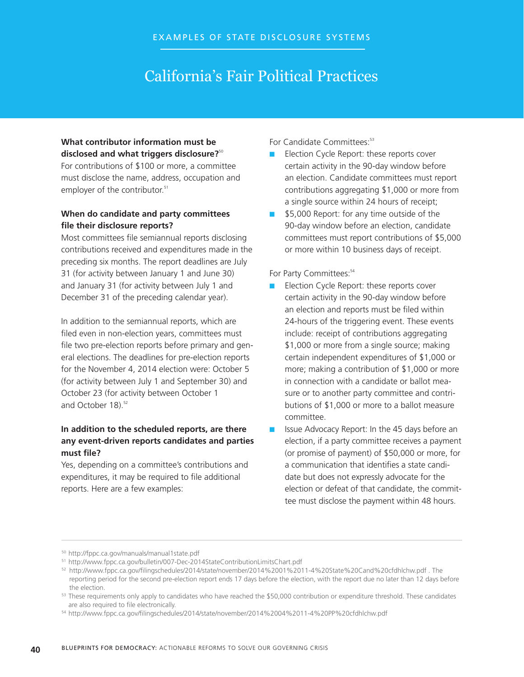# California's Fair Political Practices

#### **What contributor information must be disclosed and what triggers disclosure?**<sup>50</sup> For contributions of \$100 or more, a committee must disclose the name, address, occupation and employer of the contributor.<sup>51</sup>

#### **When do candidate and party committees file their disclosure reports?**

Most committees file semiannual reports disclosing contributions received and expenditures made in the preceding six months. The report deadlines are July 31 (for activity between January 1 and June 30) and January 31 (for activity between July 1 and December 31 of the preceding calendar year).

In addition to the semiannual reports, which are filed even in non-election years, committees must file two pre-election reports before primary and general elections. The deadlines for pre-election reports for the November 4, 2014 election were: October 5 (for activity between July 1 and September 30) and October 23 (for activity between October 1 and October 18).<sup>52</sup>

#### **In addition to the scheduled reports, are there any event-driven reports candidates and parties must file?**

Yes, depending on a committee's contributions and expenditures, it may be required to file additional reports. Here are a few examples:

For Candidate Committees:<sup>53</sup>

- Election Cycle Report: these reports cover certain activity in the 90-day window before an election. Candidate committees must report contributions aggregating \$1,000 or more from a single source within 24 hours of receipt;
- $\blacksquare$  \$5,000 Report: for any time outside of the 90-day window before an election, candidate committees must report contributions of \$5,000 or more within 10 business days of receipt.

For Party Committees:<sup>54</sup>

- **n** Election Cycle Report: these reports cover certain activity in the 90-day window before an election and reports must be filed within 24-hours of the triggering event. These events include: receipt of contributions aggregating \$1,000 or more from a single source; making certain independent expenditures of \$1,000 or more; making a contribution of \$1,000 or more in connection with a candidate or ballot measure or to another party committee and contributions of \$1,000 or more to a ballot measure committee.
- Issue Advocacy Report: In the 45 days before an election, if a party committee receives a payment (or promise of payment) of \$50,000 or more, for a communication that identifies a state candidate but does not expressly advocate for the election or defeat of that candidate, the committee must disclose the payment within 48 hours.

<sup>&</sup>lt;sup>50</sup> http://fppc.ca.gov/manuals/manual1state.pdf<br><sup>51</sup> http://www.fppc.ca.gov/bulletin/007-Dec-2014StateContributionLimitsChart.pdf<br><sup>52</sup> http://www.fppc.ca.gov/filingschedules/2014/state/november/2014%2001%2011-4%20State%20 reporting period for the second pre-election report ends 17 days before the election, with the report due no later than 12 days before

the election.<br><sup>53</sup> These requirements only apply to candidates who have reached the \$50,000 contribution or expenditure threshold. These candidates are also required to file electronically.

<sup>54</sup> http://www.fppc.ca.gov/filingschedules/2014/state/november/2014%2004%2011-4%20PP%20cfdhlchw.pdf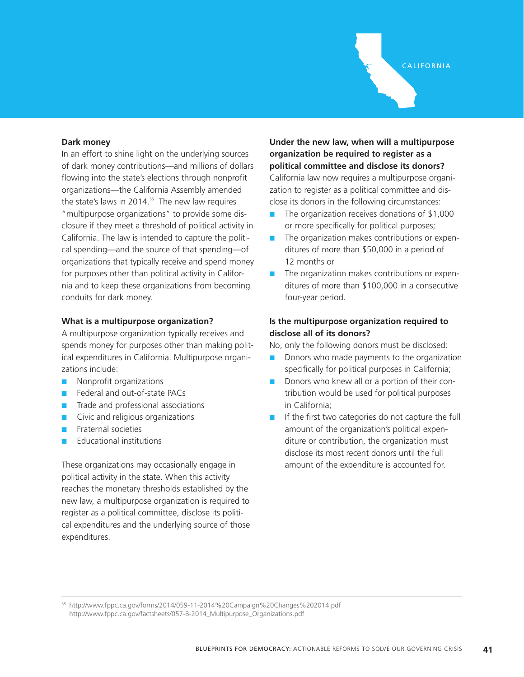

#### **Dark money**

In an effort to shine light on the underlying sources of dark money contributions—and millions of dollars flowing into the state's elections through nonprofit organizations—the California Assembly amended the state's laws in 2014. $55$  The new law requires "multipurpose organizations" to provide some disclosure if they meet a threshold of political activity in California. The law is intended to capture the political spending—and the source of that spending—of organizations that typically receive and spend money for purposes other than political activity in California and to keep these organizations from becoming conduits for dark money.

#### **What is a multipurpose organization?**

A multipurpose organization typically receives and spends money for purposes other than making political expenditures in California. Multipurpose organizations include:

- Nonprofit organizations
- Federal and out-of-state PACs
- $\blacksquare$  Trade and professional associations
- Civic and religious organizations
- Fraternal societies
- **Educational institutions**

These organizations may occasionally engage in political activity in the state. When this activity reaches the monetary thresholds established by the new law, a multipurpose organization is required to register as a political committee, disclose its political expenditures and the underlying source of those expenditures.

**Under the new law, when will a multipurpose organization be required to register as a political committee and disclose its donors?** California law now requires a multipurpose organi-

zation to register as a political committee and disclose its donors in the following circumstances:

- $\blacksquare$  The organization receives donations of \$1,000 or more specifically for political purposes;
- $\blacksquare$  The organization makes contributions or expenditures of more than \$50,000 in a period of 12 months or
- $\blacksquare$  The organization makes contributions or expenditures of more than \$100,000 in a consecutive four-year period.

#### **Is the multipurpose organization required to disclose all of its donors?**

No, only the following donors must be disclosed:

- $\blacksquare$  Donors who made payments to the organization specifically for political purposes in California;
- Donors who knew all or a portion of their contribution would be used for political purposes in California;
- If the first two categories do not capture the full amount of the organization's political expenditure or contribution, the organization must disclose its most recent donors until the full amount of the expenditure is accounted for.

55 http://www.fppc.ca.gov/forms/2014/059-11-2014%20Campaign%20Changes%202014.pdf http://www.fppc.ca.gov/factsheets/057-8-2014\_Multipurpose\_Organizations.pdf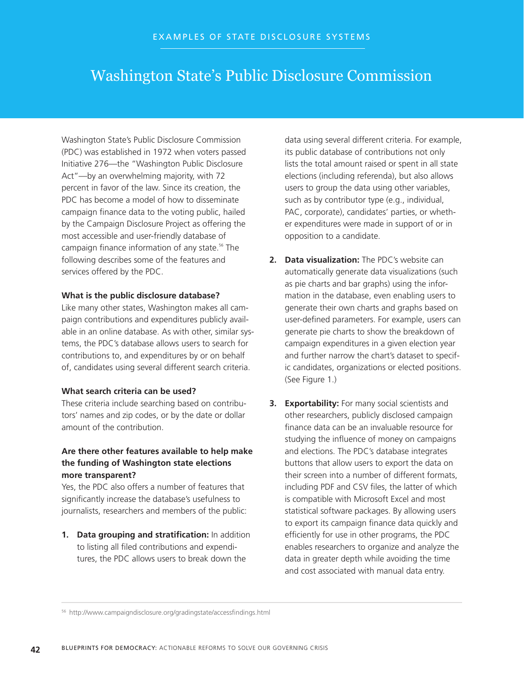## Washington State's Public Disclosure Commission

Washington State's Public Disclosure Commission (PDC) was established in 1972 when voters passed Initiative 276—the "Washington Public Disclosure Act"—by an overwhelming majority, with 72 percent in favor of the law. Since its creation, the PDC has become a model of how to disseminate campaign finance data to the voting public, hailed by the Campaign Disclosure Project as offering the most accessible and user-friendly database of campaign finance information of any state.<sup>56</sup> The following describes some of the features and services offered by the PDC.

#### **What is the public disclosure database?**

Like many other states, Washington makes all campaign contributions and expenditures publicly available in an online database. As with other, similar systems, the PDC's database allows users to search for contributions to, and expenditures by or on behalf of, candidates using several different search criteria.

#### **What search criteria can be used?**

These criteria include searching based on contributors' names and zip codes, or by the date or dollar amount of the contribution.

#### **Are there other features available to help make the funding of Washington state elections more transparent?**

Yes, the PDC also offers a number of features that significantly increase the database's usefulness to journalists, researchers and members of the public:

**1. Data grouping and stratification:** In addition to listing all filed contributions and expenditures, the PDC allows users to break down the

data using several different criteria. For example, its public database of contributions not only lists the total amount raised or spent in all state elections (including referenda), but also allows users to group the data using other variables, such as by contributor type (e.g., individual, PAC, corporate), candidates' parties, or whether expenditures were made in support of or in opposition to a candidate.

- **2. Data visualization:** The PDC's website can automatically generate data visualizations (such as pie charts and bar graphs) using the information in the database, even enabling users to generate their own charts and graphs based on user-defined parameters. For example, users can generate pie charts to show the breakdown of campaign expenditures in a given election year and further narrow the chart's dataset to specific candidates, organizations or elected positions. (See Figure 1.)
- **3. Exportability:** For many social scientists and other researchers, publicly disclosed campaign finance data can be an invaluable resource for studying the influence of money on campaigns and elections. The PDC's database integrates buttons that allow users to export the data on their screen into a number of different formats, including PDF and CSV files, the latter of which is compatible with Microsoft Excel and most statistical software packages. By allowing users to export its campaign finance data quickly and efficiently for use in other programs, the PDC enables researchers to organize and analyze the data in greater depth while avoiding the time and cost associated with manual data entry.

<sup>56</sup> http://www.campaigndisclosure.org/gradingstate/accessfindings.html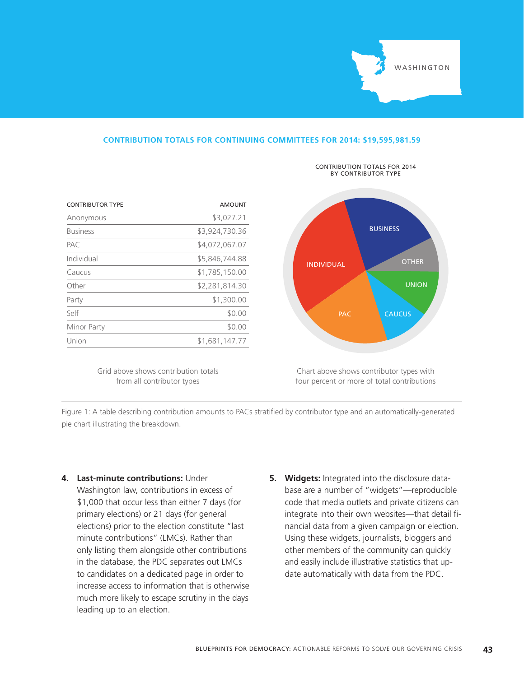

#### **CONTRIBUTION TOTALS FOR CONTINUING COMMITTEES FOR 2014: \$19,595,981.59**

| <b>CONTRIBUTOR TYPE</b> | <b>AMOUNT</b>  |  |
|-------------------------|----------------|--|
| Anonymous               | \$3,027.21     |  |
| <b>Business</b>         | \$3,924,730.36 |  |
| <b>PAC</b>              | \$4,072,067.07 |  |
| Individual              | \$5,846,744.88 |  |
| Caucus                  | \$1,785,150.00 |  |
| Other                   | \$2,281,814.30 |  |
| Party                   | \$1,300.00     |  |
| Self                    | \$0.00         |  |
| Minor Party             | \$0.00         |  |
| Union                   | \$1,681,147.77 |  |

Grid above shows contribution totals from all contributor types





Chart above shows contributor types with four percent or more of total contributions

Figure 1: A table describing contribution amounts to PACs stratified by contributor type and an automatically-generated pie chart illustrating the breakdown.

**4. Last-minute contributions:** Under

Washington law, contributions in excess of \$1,000 that occur less than either 7 days (for primary elections) or 21 days (for general elections) prior to the election constitute "last minute contributions" (LMCs). Rather than only listing them alongside other contributions in the database, the PDC separates out LMCs to candidates on a dedicated page in order to increase access to information that is otherwise much more likely to escape scrutiny in the days leading up to an election.

**5. Widgets:** Integrated into the disclosure database are a number of "widgets"—reproducible code that media outlets and private citizens can integrate into their own websites—that detail financial data from a given campaign or election. Using these widgets, journalists, bloggers and other members of the community can quickly and easily include illustrative statistics that update automatically with data from the PDC.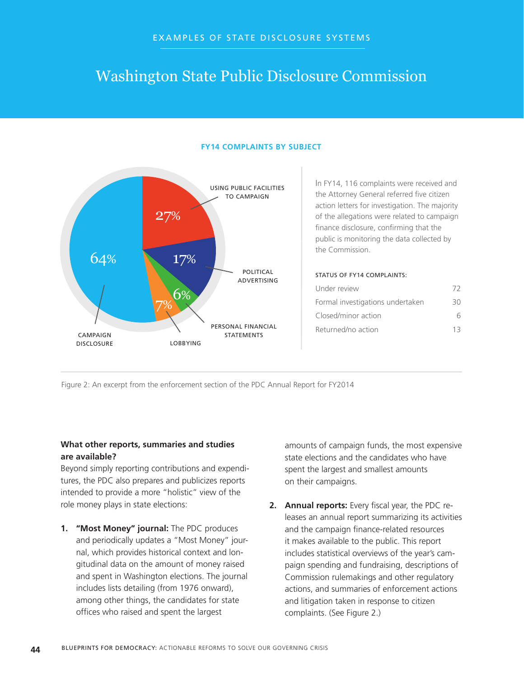# Washington State Public Disclosure Commission





In FY14, 116 complaints were received and the Attorney General referred five citizen action letters for investigation. The majority of the allegations were related to campaign finance disclosure, confirming that the public is monitoring the data collected by the Commission.

#### STATUS OF FY14 COMPLAINTS:

| Under review                     | 72 |
|----------------------------------|----|
| Formal investigations undertaken | 30 |
| Closed/minor action              | Б  |
| Returned/no action               | 13 |

Figure 2: An excerpt from the enforcement section of the PDC Annual Report for FY2014

#### **What other reports, summaries and studies are available?**

Beyond simply reporting contributions and expenditures, the PDC also prepares and publicizes reports intended to provide a more "holistic" view of the role money plays in state elections:

**1. "Most Money" journal:** The PDC produces and periodically updates a "Most Money" journal, which provides historical context and longitudinal data on the amount of money raised and spent in Washington elections. The journal includes lists detailing (from 1976 onward), among other things, the candidates for state offices who raised and spent the largest

amounts of campaign funds, the most expensive state elections and the candidates who have spent the largest and smallest amounts on their campaigns.

**2. Annual reports:** Every fiscal year, the PDC releases an annual report summarizing its activities and the campaign finance-related resources it makes available to the public. This report includes statistical overviews of the year's campaign spending and fundraising, descriptions of Commission rulemakings and other regulatory actions, and summaries of enforcement actions and litigation taken in response to citizen complaints. (See Figure 2.)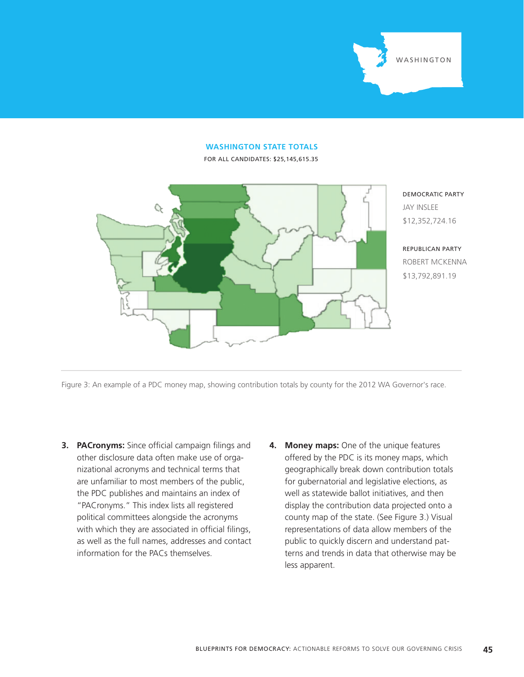

#### **WASHINGTON STATE TOTALS**

FOR ALL CANDIDATES: \$25,145,615.35



Figure 3: An example of a PDC money map, showing contribution totals by county for the 2012 WA Governor's race.

- **3. PACronyms:** Since official campaign filings and other disclosure data often make use of organizational acronyms and technical terms that are unfamiliar to most members of the public, the PDC publishes and maintains an index of "PACronyms." This index lists all registered political committees alongside the acronyms with which they are associated in official filings, as well as the full names, addresses and contact information for the PACs themselves.
- **4. Money maps:** One of the unique features offered by the PDC is its money maps, which geographically break down contribution totals for gubernatorial and legislative elections, as well as statewide ballot initiatives, and then display the contribution data projected onto a county map of the state. (See Figure 3.) Visual representations of data allow members of the public to quickly discern and understand patterns and trends in data that otherwise may be less apparent.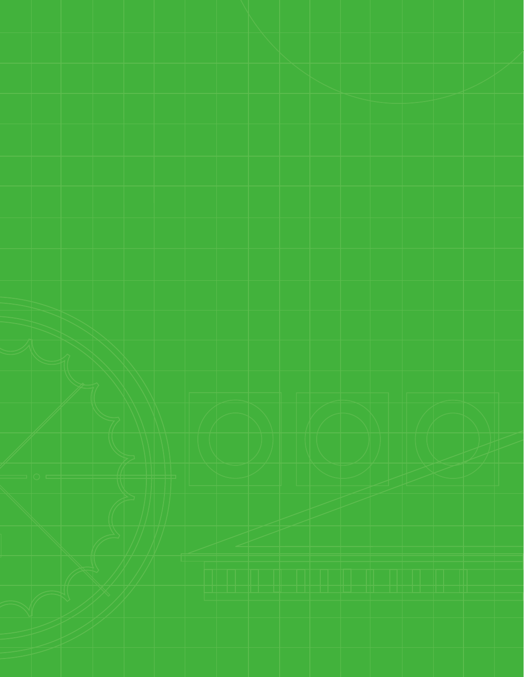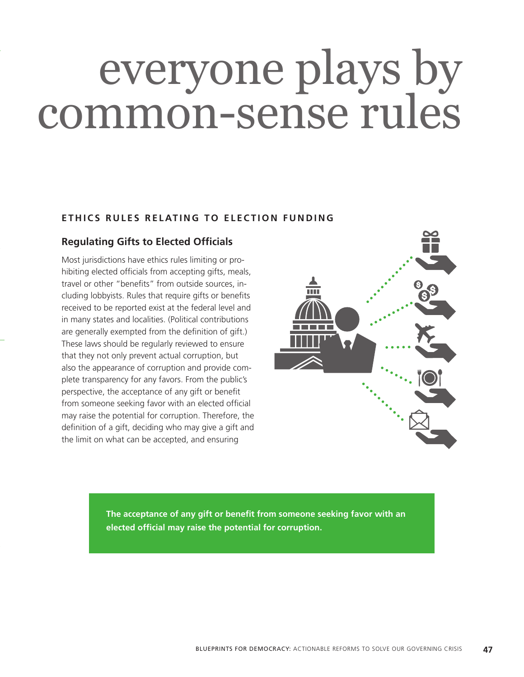# everyone plays by common-sense rules

#### **ETHICS RULES RELATING TO ELECTION FUNDING**

#### **Regulating Gifts to Elected Officials**

Most jurisdictions have ethics rules limiting or prohibiting elected officials from accepting gifts, meals, travel or other "benefits" from outside sources, including lobbyists. Rules that require gifts or benefits received to be reported exist at the federal level and in many states and localities. (Political contributions are generally exempted from the definition of gift.) These laws should be regularly reviewed to ensure that they not only prevent actual corruption, but also the appearance of corruption and provide complete transparency for any favors. From the public's perspective, the acceptance of any gift or benefit from someone seeking favor with an elected official may raise the potential for corruption. Therefore, the definition of a gift, deciding who may give a gift and the limit on what can be accepted, and ensuring



**The acceptance of any gift or benefit from someone seeking favor with an elected official may raise the potential for corruption.**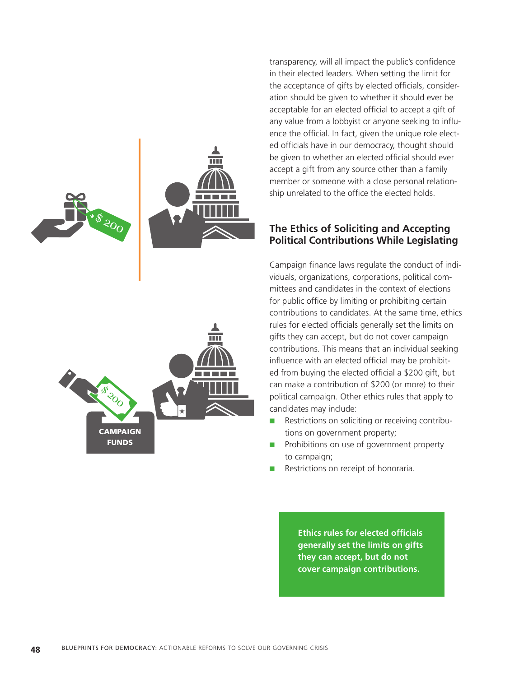





transparency, will all impact the public's confidence in their elected leaders. When setting the limit for the acceptance of gifts by elected officials, consideration should be given to whether it should ever be acceptable for an elected official to accept a gift of any value from a lobbyist or anyone seeking to influence the official. In fact, given the unique role elected officials have in our democracy, thought should be given to whether an elected official should ever accept a gift from any source other than a family member or someone with a close personal relationship unrelated to the office the elected holds.

#### **The Ethics of Soliciting and Accepting Political Contributions While Legislating**

Campaign finance laws regulate the conduct of individuals, organizations, corporations, political committees and candidates in the context of elections for public office by limiting or prohibiting certain contributions to candidates. At the same time, ethics rules for elected officials generally set the limits on gifts they can accept, but do not cover campaign contributions. This means that an individual seeking influence with an elected official may be prohibited from buying the elected official a \$200 gift, but can make a contribution of \$200 (or more) to their political campaign. Other ethics rules that apply to candidates may include:

- **n** Restrictions on soliciting or receiving contributions on government property;
- **n** Prohibitions on use of government property to campaign;
- **n** Restrictions on receipt of honoraria.

**Ethics rules for elected officials generally set the limits on gifts they can accept, but do not cover campaign contributions.**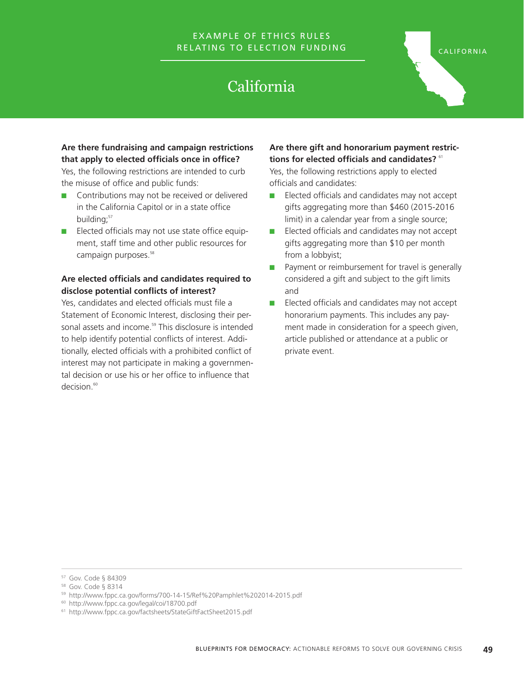#### **EXAMPLE OF ETHICS RULES** RELATING TO ELECTION FUNDING

# California

#### **Are there fundraising and campaign restrictions that apply to elected officials once in office?**

Yes, the following restrictions are intended to curb the misuse of office and public funds:

- **n** Contributions may not be received or delivered in the California Capitol or in a state office building;<sup>57</sup>
- $\blacksquare$  Elected officials may not use state office equipment, staff time and other public resources for campaign purposes.<sup>58</sup>

#### **Are elected officials and candidates required to disclose potential conflicts of interest?**

Yes, candidates and elected officials must file a Statement of Economic Interest, disclosing their personal assets and income.<sup>59</sup> This disclosure is intended to help identify potential conflicts of interest. Additionally, elected officials with a prohibited conflict of interest may not participate in making a governmental decision or use his or her office to influence that decision.<sup>60</sup>

#### **Are there gift and honorarium payment restrictions for elected officials and candidates?** <sup>61</sup>

**CALIFORNIA** 

Yes, the following restrictions apply to elected officials and candidates:

- Elected officials and candidates may not accept gifts aggregating more than \$460 (2015-2016 limit) in a calendar year from a single source;
- $\blacksquare$  Elected officials and candidates may not accept gifts aggregating more than \$10 per month from a lobbyist;
- **n** Payment or reimbursement for travel is generally considered a gift and subject to the gift limits and
- $\blacksquare$  Elected officials and candidates may not accept honorarium payments. This includes any payment made in consideration for a speech given, article published or attendance at a public or private event.

<sup>&</sup>lt;sup>57</sup> Gov. Code § 84309<br><sup>58</sup> Gov. Code § 8314<br><sup>59</sup> http://www.fppc.ca.gov/forms/700-14-15/Ref%20Pamphlet%202014-2015.pdf<br><sup>60</sup> http://www.fppc.ca.gov/factsheets/StateGiftFactSheet2015.pdf<br><sup>61</sup> http://www.fppc.ca.gov/factshe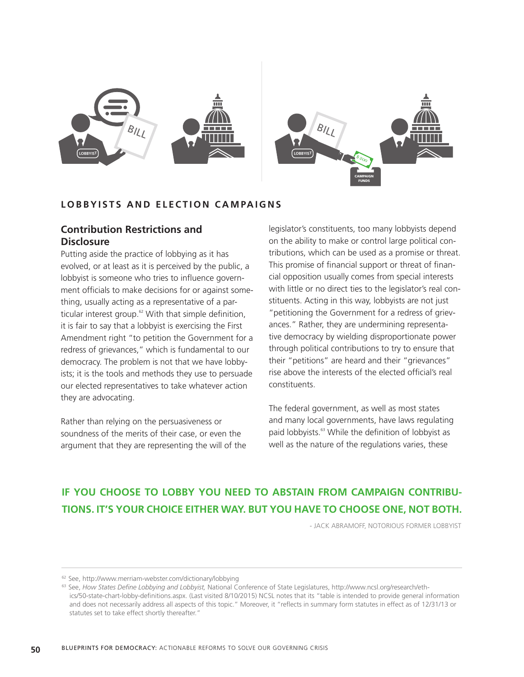

#### LOBBYISTS AND ELECTION CAMPAIGNS

#### **Contribution Restrictions and Disclosure**

Putting aside the practice of lobbying as it has evolved, or at least as it is perceived by the public, a lobbyist is someone who tries to influence government officials to make decisions for or against something, usually acting as a representative of a particular interest group. $62$  With that simple definition, it is fair to say that a lobbyist is exercising the First Amendment right "to petition the Government for a redress of grievances," which is fundamental to our democracy. The problem is not that we have lobbyists; it is the tools and methods they use to persuade our elected representatives to take whatever action they are advocating.

Rather than relying on the persuasiveness or soundness of the merits of their case, or even the argument that they are representing the will of the legislator's constituents, too many lobbyists depend on the ability to make or control large political contributions, which can be used as a promise or threat. This promise of financial support or threat of financial opposition usually comes from special interests with little or no direct ties to the legislator's real constituents. Acting in this way, lobbyists are not just "petitioning the Government for a redress of grievances." Rather, they are undermining representative democracy by wielding disproportionate power through political contributions to try to ensure that their "petitions" are heard and their "grievances" rise above the interests of the elected official's real constituents.

The federal government, as well as most states and many local governments, have laws regulating paid lobbyists.<sup>63</sup> While the definition of lobbyist as well as the nature of the regulations varies, these

### **IF YOU CHOOSE TO LOBBY YOU NEED TO ABSTAIN FROM CAMPAIGN CONTRIBU-TIONS. IT'S YOUR CHOICE EITHER WAY. BUT YOU HAVE TO CHOOSE ONE, NOT BOTH.**

- JACK ABRAMOFF, NOTORIOUS FORMER LOBBYIST

<sup>62</sup> See, http://www.merriam-webster.com/dictionary/lobbying

<sup>63</sup> See, *How States Define Lobbying and Lobbyist,* National Conference of State Legislatures, http://www.ncsl.org/research/ethics/50-state-chart-lobby-definitions.aspx. (Last visited 8/10/2015) NCSL notes that its "table is intended to provide general information and does not necessarily address all aspects of this topic." Moreover, it "reflects in summary form statutes in effect as of 12/31/13 or statutes set to take effect shortly thereafter."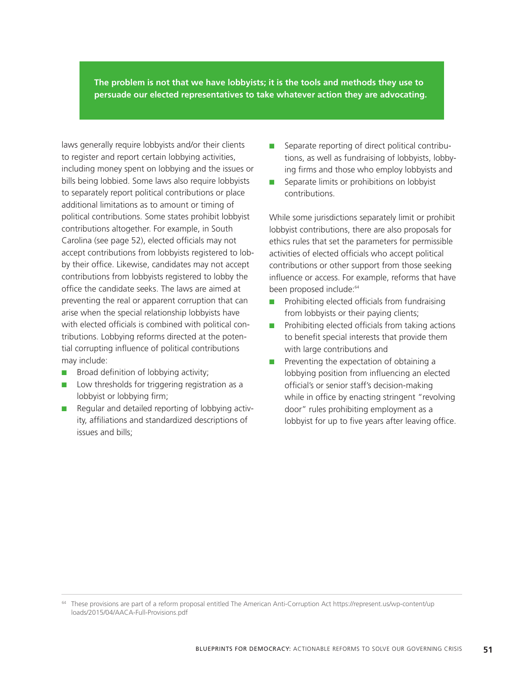**The problem is not that we have lobbyists; it is the tools and methods they use to persuade our elected representatives to take whatever action they are advocating.**

laws generally require lobbyists and/or their clients to register and report certain lobbying activities, including money spent on lobbying and the issues or bills being lobbied. Some laws also require lobbyists to separately report political contributions or place additional limitations as to amount or timing of political contributions. Some states prohibit lobbyist contributions altogether. For example, in South Carolina (see page 52), elected officials may not accept contributions from lobbyists registered to lobby their office. Likewise, candidates may not accept contributions from lobbyists registered to lobby the office the candidate seeks. The laws are aimed at preventing the real or apparent corruption that can arise when the special relationship lobbyists have with elected officials is combined with political contributions. Lobbying reforms directed at the potential corrupting influence of political contributions may include:

- Broad definition of lobbying activity;
- Low thresholds for triggering registration as a lobbyist or lobbying firm;
- Regular and detailed reporting of lobbying activity, affiliations and standardized descriptions of issues and bills;
- **n** Separate reporting of direct political contributions, as well as fundraising of lobbyists, lobbying firms and those who employ lobbyists and
- $\blacksquare$  Separate limits or prohibitions on lobbyist contributions.

While some jurisdictions separately limit or prohibit lobbyist contributions, there are also proposals for ethics rules that set the parameters for permissible activities of elected officials who accept political contributions or other support from those seeking influence or access. For example, reforms that have been proposed include:<sup>64</sup>

- $\blacksquare$  Prohibiting elected officials from fundraising from lobbyists or their paying clients;
- $\blacksquare$  Prohibiting elected officials from taking actions to benefit special interests that provide them with large contributions and
- Preventing the expectation of obtaining a lobbying position from influencing an elected official's or senior staff's decision-making while in office by enacting stringent "revolving door" rules prohibiting employment as a lobbyist for up to five years after leaving office.

<sup>64</sup> These provisions are part of a reform proposal entitled The American Anti-Corruption Act https://represent.us/wp-content/up loads/2015/04/AACA-Full-Provisions.pdf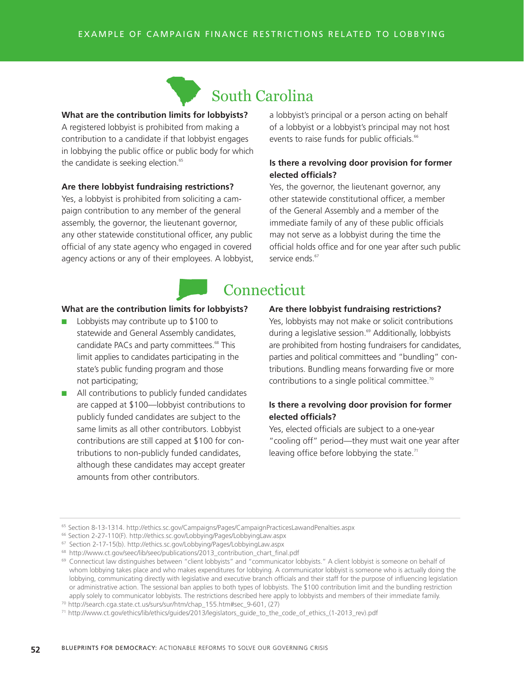

# South Carolina

#### **What are the contribution limits for lobbyists?**

A registered lobbyist is prohibited from making a contribution to a candidate if that lobbyist engages in lobbying the public office or public body for which the candidate is seeking election.<sup>65</sup>

#### **Are there lobbyist fundraising restrictions?**

Yes, a lobbyist is prohibited from soliciting a campaign contribution to any member of the general assembly, the governor, the lieutenant governor, any other statewide constitutional officer, any public official of any state agency who engaged in covered agency actions or any of their employees. A lobbyist, a lobbyist's principal or a person acting on behalf of a lobbyist or a lobbyist's principal may not host events to raise funds for public officials.<sup>66</sup>

#### **Is there a revolving door provision for former elected officials?**

Yes, the governor, the lieutenant governor, any other statewide constitutional officer, a member of the General Assembly and a member of the immediate family of any of these public officials may not serve as a lobbyist during the time the official holds office and for one year after such public service ends.<sup>67</sup>



#### **What are the contribution limits for lobbyists?**

- Lobbyists may contribute up to \$100 to statewide and General Assembly candidates, candidate PACs and party committees.<sup>68</sup> This limit applies to candidates participating in the state's public funding program and those not participating;
- $\blacksquare$  All contributions to publicly funded candidates are capped at \$100—lobbyist contributions to publicly funded candidates are subject to the same limits as all other contributors. Lobbyist contributions are still capped at \$100 for contributions to non-publicly funded candidates, although these candidates may accept greater amounts from other contributors.

j

#### **Are there lobbyist fundraising restrictions?**

Yes, lobbyists may not make or solicit contributions during a legislative session.<sup>69</sup> Additionally, lobbyists are prohibited from hosting fundraisers for candidates, parties and political committees and "bundling" contributions. Bundling means forwarding five or more contributions to a single political committee.<sup>70</sup>

#### **Is there a revolving door provision for former elected officials?**

Yes, elected officials are subject to a one-year "cooling off" period—they must wait one year after leaving office before lobbying the state.<sup>71</sup>

<sup>&</sup>lt;sup>65</sup> Section 8-13-1314. http://ethics.sc.gov/Campaigns/Pages/CampaignPracticesLawandPenalties.aspx<br><sup>66</sup> Section 2-27-110(F). http://ethics.sc.gov/Lobbying/Pages/LobbyingLaw.aspx

<sup>&</sup>lt;sup>67</sup> Section 2-17-15(b). http://ethics.sc.gov/Lobbying/Pages/LobbyingLaw.aspx

<sup>&</sup>lt;sup>68</sup> http://www.ct.gov/seec/lib/seec/publications/2013\_contribution\_chart\_final.pdf<br><sup>69</sup> Connecticut law distinguishes between "client lobbyists" and "communicator lobbyists." A client lobbyist is someone on behalf of whom lobbying takes place and who makes expenditures for lobbying. A communicator lobbyist is someone who is actually doing the lobbying, communicating directly with legislative and executive branch officials and their staff for the purpose of influencing legislation or administrative action. The sessional ban applies to both types of lobbyists. The \$100 contribution limit and the bundling restriction apply solely to communicator lobbyists. The restrictions described here apply to lobbyists and members of their immediate family.

<sup>70</sup> http://search.cga.state.ct.us/surs/sur/htm/chap\_155.htm#sec\_9-601, (27)

<sup>71</sup> http://www.ct.gov/ethics/lib/ethics/guides/2013/legislators\_guide\_to\_the\_code\_of\_ethics\_(1-2013\_rev).pdf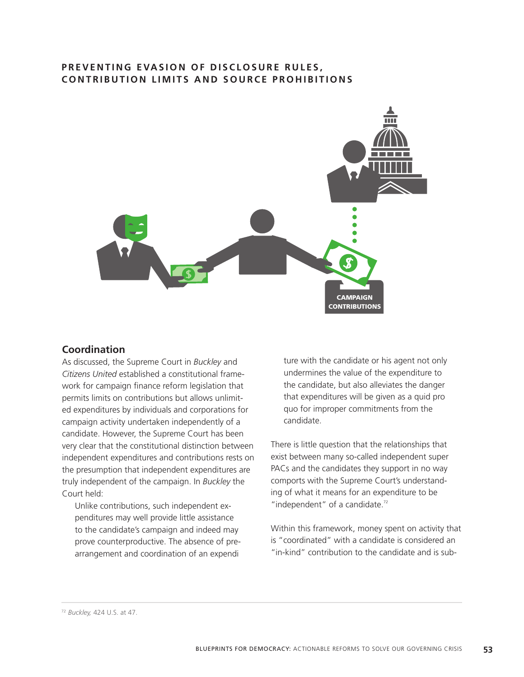#### **PREVENTING EVASION OF DISCLOSURE RULES, CONTRIBUTION LIMITS AND SOURCE PROHIBITIONS**



#### **Coordination**

As discussed, the Supreme Court in *Buckley* and *Citizens United* established a constitutional framework for campaign finance reform legislation that permits limits on contributions but allows unlimited expenditures by individuals and corporations for campaign activity undertaken independently of a candidate. However, the Supreme Court has been very clear that the constitutional distinction between independent expenditures and contributions rests on the presumption that independent expenditures are truly independent of the campaign. In *Buckley* the Court held:

Unlike contributions, such independent expenditures may well provide little assistance to the candidate's campaign and indeed may prove counterproductive. The absence of prearrangement and coordination of an expendi

ture with the candidate or his agent not only undermines the value of the expenditure to the candidate, but also alleviates the danger that expenditures will be given as a quid pro quo for improper commitments from the candidate.

There is little question that the relationships that exist between many so-called independent super PACs and the candidates they support in no way comports with the Supreme Court's understanding of what it means for an expenditure to be "independent" of a candidate. $72$ 

Within this framework, money spent on activity that is "coordinated" with a candidate is considered an "in-kind" contribution to the candidate and is sub-

<sup>72</sup>*Buckley,* 424 U.S. at 47.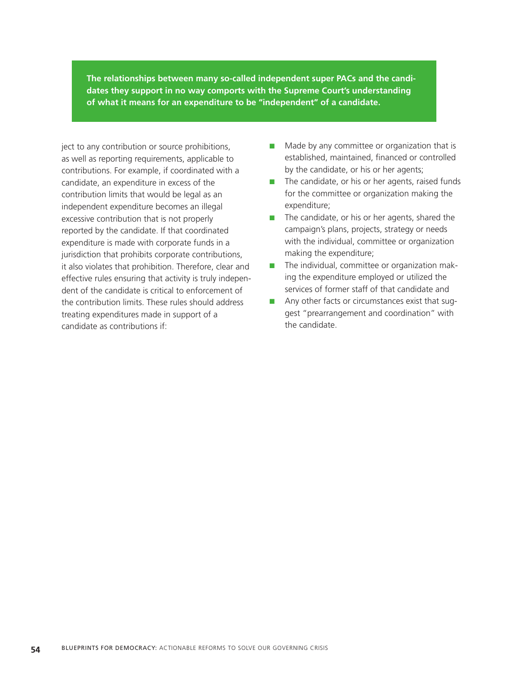**The relationships between many so-called independent super PACs and the candidates they support in no way comports with the Supreme Court's understanding of what it means for an expenditure to be "independent" of a candidate.**

ject to any contribution or source prohibitions, as well as reporting requirements, applicable to contributions. For example, if coordinated with a candidate, an expenditure in excess of the contribution limits that would be legal as an independent expenditure becomes an illegal excessive contribution that is not properly reported by the candidate. If that coordinated expenditure is made with corporate funds in a jurisdiction that prohibits corporate contributions, it also violates that prohibition. Therefore, clear and effective rules ensuring that activity is truly independent of the candidate is critical to enforcement of the contribution limits. These rules should address treating expenditures made in support of a candidate as contributions if:

- **n** Made by any committee or organization that is established, maintained, financed or controlled by the candidate, or his or her agents;
- $\blacksquare$  The candidate, or his or her agents, raised funds for the committee or organization making the expenditure;
- $\blacksquare$  The candidate, or his or her agents, shared the campaign's plans, projects, strategy or needs with the individual, committee or organization making the expenditure;
- The individual, committee or organization making the expenditure employed or utilized the services of former staff of that candidate and
- **n** Any other facts or circumstances exist that suggest "prearrangement and coordination" with the candidate.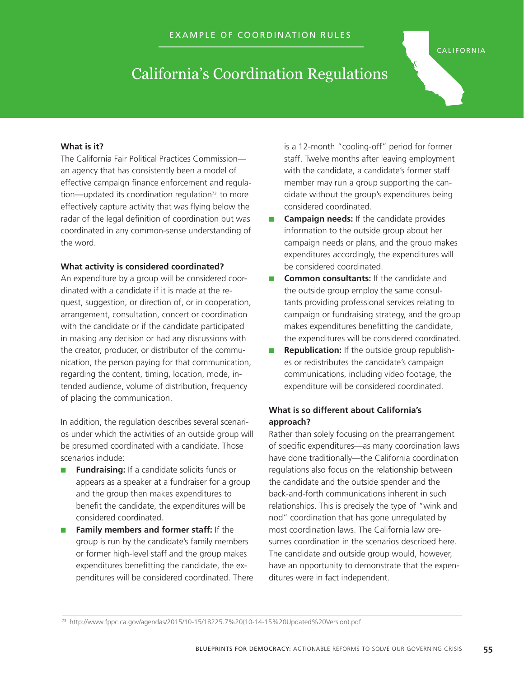# California's Coordination Regulations

#### **What is it?**

The California Fair Political Practices Commission an agency that has consistently been a model of effective campaign finance enforcement and regulation—updated its coordination regulation $73$  to more effectively capture activity that was flying below the radar of the legal definition of coordination but was coordinated in any common-sense understanding of the word.

#### **What activity is considered coordinated?**

An expenditure by a group will be considered coordinated with a candidate if it is made at the request, suggestion, or direction of, or in cooperation, arrangement, consultation, concert or coordination with the candidate or if the candidate participated in making any decision or had any discussions with the creator, producer, or distributor of the communication, the person paying for that communication, regarding the content, timing, location, mode, intended audience, volume of distribution, frequency of placing the communication.

In addition, the regulation describes several scenarios under which the activities of an outside group will be presumed coordinated with a candidate. Those scenarios include:

- Fundraising: If a candidate solicits funds or appears as a speaker at a fundraiser for a group and the group then makes expenditures to benefit the candidate, the expenditures will be considered coordinated.
- **Family members and former staff:** If the group is run by the candidate's family members or former high-level staff and the group makes expenditures benefitting the candidate, the expenditures will be considered coordinated. There

is a 12-month "cooling-off" period for former staff. Twelve months after leaving employment with the candidate, a candidate's former staff member may run a group supporting the candidate without the group's expenditures being considered coordinated.

**CALIFORNIA** 

- **Campaign needs:** If the candidate provides information to the outside group about her campaign needs or plans, and the group makes expenditures accordingly, the expenditures will be considered coordinated.
- **Common consultants:** If the candidate and the outside group employ the same consultants providing professional services relating to campaign or fundraising strategy, and the group makes expenditures benefitting the candidate, the expenditures will be considered coordinated.
- **Republication:** If the outside group republishes or redistributes the candidate's campaign communications, including video footage, the expenditure will be considered coordinated.

#### **What is so different about California's approach?**

Rather than solely focusing on the prearrangement of specific expenditures—as many coordination laws have done traditionally—the California coordination regulations also focus on the relationship between the candidate and the outside spender and the back-and-forth communications inherent in such relationships. This is precisely the type of "wink and nod" coordination that has gone unregulated by most coordination laws. The California law presumes coordination in the scenarios described here. The candidate and outside group would, however, have an opportunity to demonstrate that the expenditures were in fact independent.

<sup>73</sup> http://www.fppc.ca.gov/agendas/2015/10-15/18225.7%20(10-14-15%20Updated%20Version).pdf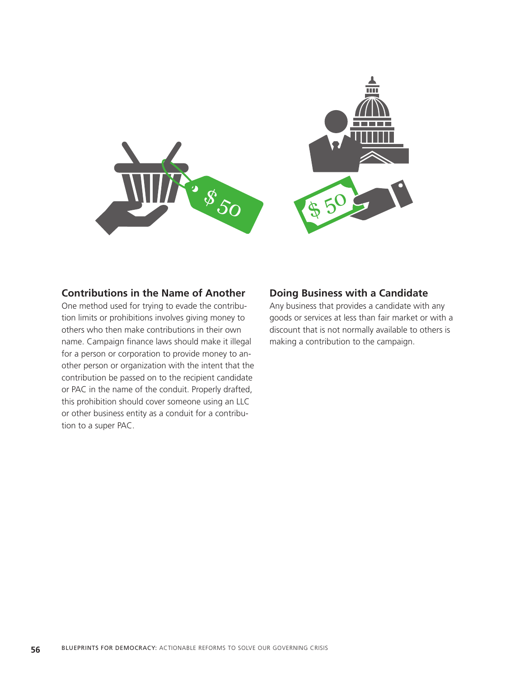

#### **Contributions in the Name of Another**

One method used for trying to evade the contribution limits or prohibitions involves giving money to others who then make contributions in their own name. Campaign finance laws should make it illegal for a person or corporation to provide money to another person or organization with the intent that the contribution be passed on to the recipient candidate or PAC in the name of the conduit. Properly drafted, this prohibition should cover someone using an LLC or other business entity as a conduit for a contribution to a super PAC.

#### **Doing Business with a Candidate**

Any business that provides a candidate with any goods or services at less than fair market or with a discount that is not normally available to others is making a contribution to the campaign.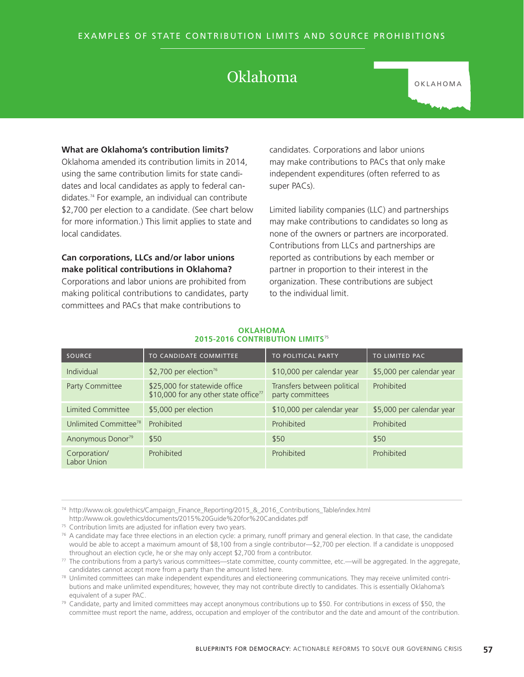# Oklahoma

OKLAHOMA

#### **What are Oklahoma's contribution limits?**

Oklahoma amended its contribution limits in 2014, using the same contribution limits for state candidates and local candidates as apply to federal candidates.74 For example, an individual can contribute \$2,700 per election to a candidate. (See chart below for more information.) This limit applies to state and local candidates.

#### **Can corporations, LLCs and/or labor unions make political contributions in Oklahoma?**

Corporations and labor unions are prohibited from making political contributions to candidates, party committees and PACs that make contributions to

candidates. Corporations and labor unions may make contributions to PACs that only make independent expenditures (often referred to as super PACs).

Limited liability companies (LLC) and partnerships may make contributions to candidates so long as none of the owners or partners are incorporated. Contributions from LLCs and partnerships are reported as contributions by each member or partner in proportion to their interest in the organization. These contributions are subject to the individual limit.

| <b>SOURCE</b>                     | TO CANDIDATE COMMITTEE                                                             | TO POLITICAL PARTY                              | TO LIMITED PAC            |
|-----------------------------------|------------------------------------------------------------------------------------|-------------------------------------------------|---------------------------|
| Individual                        | \$2,700 per election <sup>76</sup>                                                 | \$10,000 per calendar year                      | \$5,000 per calendar year |
| Party Committee                   | \$25,000 for statewide office<br>\$10,000 for any other state office <sup>77</sup> | Transfers between political<br>party committees | Prohibited                |
| <b>Limited Committee</b>          | \$5,000 per election                                                               | \$10,000 per calendar year                      | \$5,000 per calendar year |
| Unlimited Committee <sup>78</sup> | Prohibited                                                                         | Prohibited                                      | Prohibited                |
| Anonymous Donor <sup>79</sup>     | \$50                                                                               | \$50                                            | \$50                      |
| Corporation/<br>Labor Union       | Prohibited                                                                         | Prohibited                                      | Prohibited                |

#### **OKLAHOMA 2015-2016 CONTRIBUTION LIMITS**<sup>75</sup>

<sup>74</sup> http://www.ok.gov/ethics/Campaign\_Finance\_Reporting/2015\_&\_2016\_Contributions\_Table/index.html http://www.ok.gov/ethics/documents/2015%20Guide%20for%20Candidates.pdf 75 Contribution limits are adjusted for inflation every two years.

 $76$  A candidate may face three elections in an election cycle: a primary, runoff primary and general election. In that case, the candidate would be able to accept a maximum amount of \$8,100 from a single contributor—\$2,700 per election. If a candidate is unopposed throughout an election cycle, he or she may only accept \$2,700 from a contributor.

 $77$  The contributions from a party's various committees—state committee, county committee, etc.—will be aggregated. In the aggregate, candidates cannot accept more from a party than the amount listed here.<br><sup>78</sup> Unlimited committees can make independent expenditures and electioneering communications. They may receive unlimited contri-

butions and make unlimited expenditures; however, they may not contribute directly to candidates. This is essentially Oklahoma's equivalent of a super PAC.

<sup>79</sup> Candidate, party and limited committees may accept anonymous contributions up to \$50. For contributions in excess of \$50, the committee must report the name, address, occupation and employer of the contributor and the date and amount of the contribution.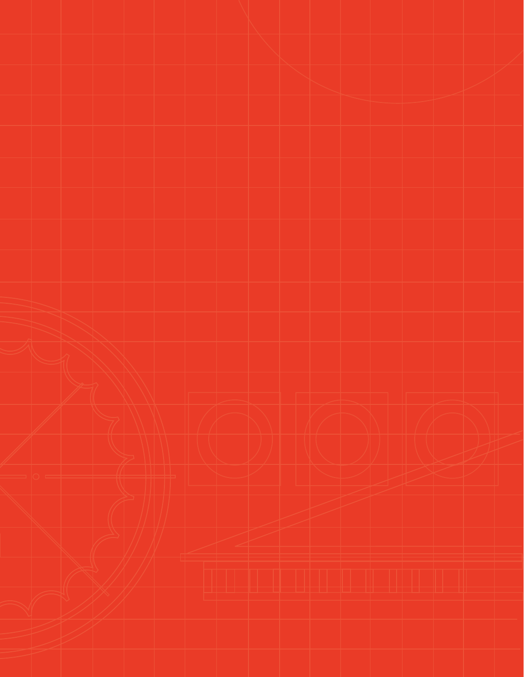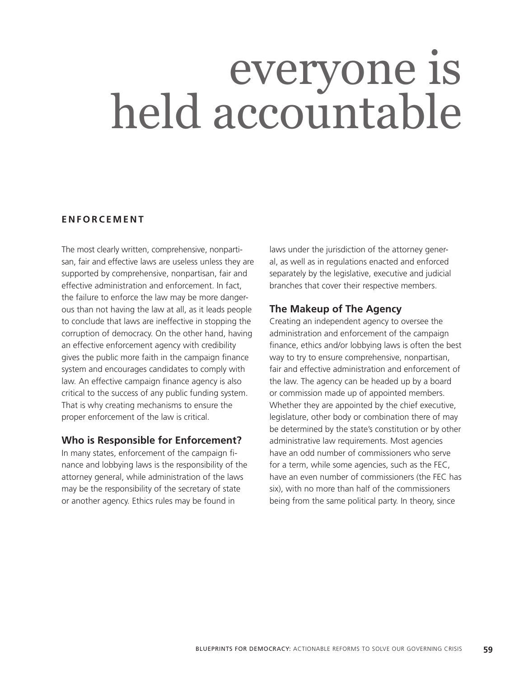# everyone is held accountable

#### **ENFORCEMENT**

The most clearly written, comprehensive, nonpartisan, fair and effective laws are useless unless they are supported by comprehensive, nonpartisan, fair and effective administration and enforcement. In fact, the failure to enforce the law may be more dangerous than not having the law at all, as it leads people to conclude that laws are ineffective in stopping the corruption of democracy. On the other hand, having an effective enforcement agency with credibility gives the public more faith in the campaign finance system and encourages candidates to comply with law. An effective campaign finance agency is also critical to the success of any public funding system. That is why creating mechanisms to ensure the proper enforcement of the law is critical.

#### **Who is Responsible for Enforcement?**

In many states, enforcement of the campaign finance and lobbying laws is the responsibility of the attorney general, while administration of the laws may be the responsibility of the secretary of state or another agency. Ethics rules may be found in

laws under the jurisdiction of the attorney general, as well as in regulations enacted and enforced separately by the legislative, executive and judicial branches that cover their respective members.

#### **The Makeup of The Agency**

Creating an independent agency to oversee the administration and enforcement of the campaign finance, ethics and/or lobbying laws is often the best way to try to ensure comprehensive, nonpartisan, fair and effective administration and enforcement of the law. The agency can be headed up by a board or commission made up of appointed members. Whether they are appointed by the chief executive, legislature, other body or combination there of may be determined by the state's constitution or by other administrative law requirements. Most agencies have an odd number of commissioners who serve for a term, while some agencies, such as the FEC, have an even number of commissioners (the FEC has six), with no more than half of the commissioners being from the same political party. In theory, since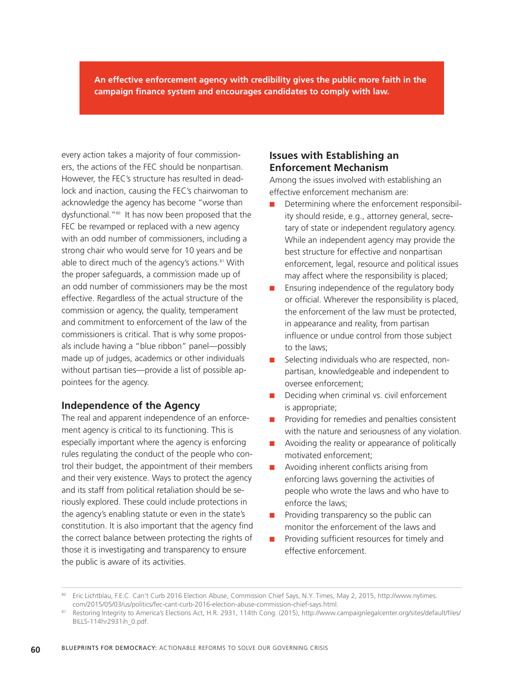**An effective enforcement agency with credibility gives the public more faith in the campaign finance system and encourages candidates to comply with law.**

every action takes a majority of four commissioners, the actions of the FEC should be nonpartisan. However, the FEC's structure has resulted in deadlock and inaction, causing the FEC's chairwoman to acknowledge the agency has become "worse than dysfunctional."80 It has now been proposed that the FEC be revamped or replaced with a new agency with an odd number of commissioners, including a strong chair who would serve for 10 years and be able to direct much of the agency's actions.<sup>81</sup> With the proper safeguards, a commission made up of an odd number of commissioners may be the most effective. Regardless of the actual structure of the commission or agency, the quality, temperament and commitment to enforcement of the law of the commissioners is critical. That is why some proposals include having a "blue ribbon" panel—possibly made up of judges, academics or other individuals without partisan ties—provide a list of possible appointees for the agency.

#### **Independence of the Agency**

The real and apparent independence of an enforcement agency is critical to its functioning. This is especially important where the agency is enforcing rules regulating the conduct of the people who control their budget, the appointment of their members and their very existence. Ways to protect the agency and its staff from political retaliation should be seriously explored. These could include protections in the agency's enabling statute or even in the state's constitution. It is also important that the agency find the correct balance between protecting the rights of those it is investigating and transparency to ensure the public is aware of its activities.

#### **Issues with Establishing an Enforcement Mechanism**

Among the issues involved with establishing an effective enforcement mechanism are:

- $\blacksquare$  Determining where the enforcement responsibility should reside, e.g., attorney general, secretary of state or independent regulatory agency. While an independent agency may provide the best structure for effective and nonpartisan enforcement, legal, resource and political issues may affect where the responsibility is placed;
- Ensuring independence of the regulatory body or official. Wherever the responsibility is placed, the enforcement of the law must be protected, in appearance and reality, from partisan influence or undue control from those subject to the laws;
- Selecting individuals who are respected, nonpartisan, knowledgeable and independent to oversee enforcement;
- Deciding when criminal vs. civil enforcement is appropriate;
- $\blacksquare$  Providing for remedies and penalties consistent with the nature and seriousness of any violation.
- $\blacksquare$  Avoiding the reality or appearance of politically motivated enforcement;
- $\blacksquare$  Avoiding inherent conflicts arising from enforcing laws governing the activities of people who wrote the laws and who have to enforce the laws;
- Providing transparency so the public can monitor the enforcement of the laws and
- $\blacksquare$  Providing sufficient resources for timely and effective enforcement.

<sup>80</sup> Eric Lichtblau, F.E.C. Can't Curb 2016 Election Abuse, Commission Chief Says, N.Y. Times, May 2, 2015, http://www.nytimes. com/2015/05/03/us/politics/fec-cant-curb-2016-election-abuse-commission-chief-says.html.<br>Restoring Integrity to America's Elections Act, H.R. 2931, 114th Cong. (2015), http://www.campaignlegalcenter.org/sites/default/files

BILLS-114hr2931ih\_0.pdf.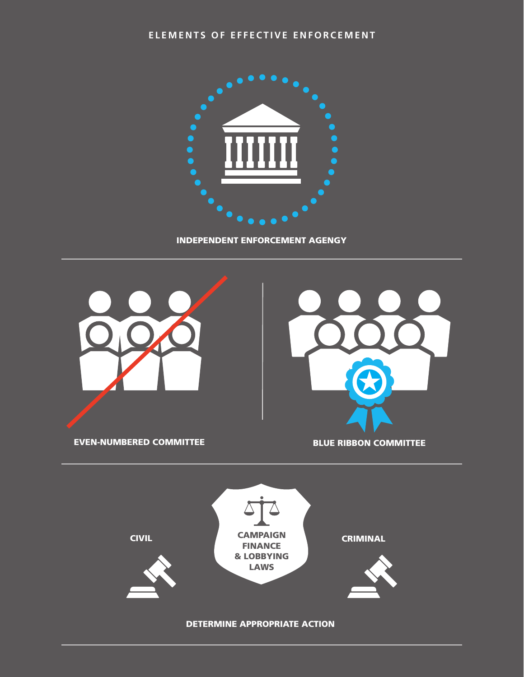#### **ELEMENTS OF EFFECTIVE ENFORCEMENT**



INDEPENDENT ENFORCEMENT AGENGY

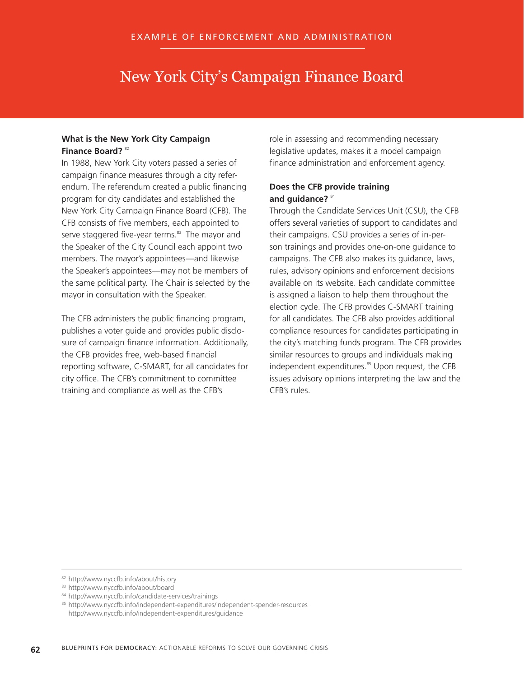# New York City's Campaign Finance Board

#### **What is the New York City Campaign Finance Board?** <sup>82</sup>

In 1988, New York City voters passed a series of campaign finance measures through a city referendum. The referendum created a public financing program for city candidates and established the New York City Campaign Finance Board (CFB). The CFB consists of five members, each appointed to serve staggered five-year terms.<sup>83</sup> The mayor and the Speaker of the City Council each appoint two members. The mayor's appointees—and likewise the Speaker's appointees—may not be members of the same political party. The Chair is selected by the mayor in consultation with the Speaker.

The CFB administers the public financing program, publishes a voter guide and provides public disclosure of campaign finance information. Additionally, the CFB provides free, web-based financial reporting software, C-SMART, for all candidates for city office. The CFB's commitment to committee training and compliance as well as the CFB's

role in assessing and recommending necessary legislative updates, makes it a model campaign finance administration and enforcement agency.

#### **Does the CFB provide training and guidance?** <sup>84</sup>

Through the Candidate Services Unit (CSU), the CFB offers several varieties of support to candidates and their campaigns. CSU provides a series of in-person trainings and provides one-on-one guidance to campaigns. The CFB also makes its guidance, laws, rules, advisory opinions and enforcement decisions available on its website. Each candidate committee is assigned a liaison to help them throughout the election cycle. The CFB provides C-SMART training for all candidates. The CFB also provides additional compliance resources for candidates participating in the city's matching funds program. The CFB provides similar resources to groups and individuals making independent expenditures.<sup>85</sup> Upon request, the CFB issues advisory opinions interpreting the law and the CFB's rules.

 $82$  http://www.nyccfb.info/about/history<br>  $83$  http://www.nyccfb.info/about/board<br>  $84$  http://www.nyccfb.info/independent-expenditures/independent-spender-resources<br>  $85$  http://www.nyccfb.info/independent-expenditures/ http://www.nyccfb.info/independent-expenditures/guidance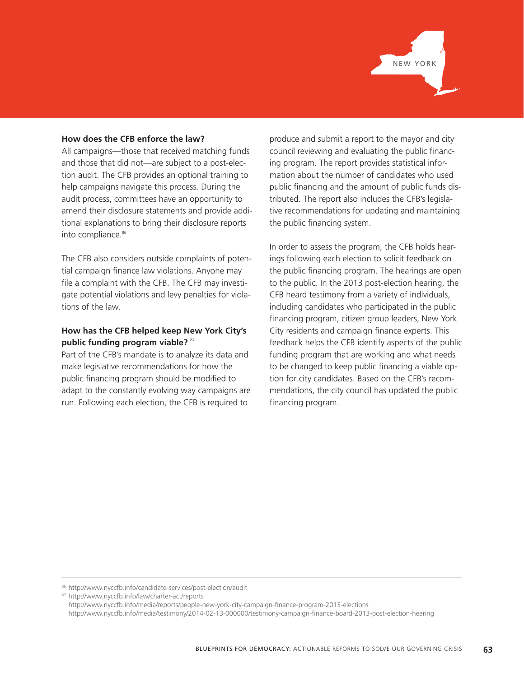

#### **How does the CFB enforce the law?**

All campaigns—those that received matching funds and those that did not—are subject to a post-election audit. The CFB provides an optional training to help campaigns navigate this process. During the audit process, committees have an opportunity to amend their disclosure statements and provide additional explanations to bring their disclosure reports into compliance.<sup>86</sup>

The CFB also considers outside complaints of potential campaign finance law violations. Anyone may file a complaint with the CFB. The CFB may investigate potential violations and levy penalties for violations of the law.

#### **How has the CFB helped keep New York City's public funding program viable?** <sup>87</sup>

Part of the CFB's mandate is to analyze its data and make legislative recommendations for how the public financing program should be modified to adapt to the constantly evolving way campaigns are run. Following each election, the CFB is required to

produce and submit a report to the mayor and city council reviewing and evaluating the public financing program. The report provides statistical information about the number of candidates who used public financing and the amount of public funds distributed. The report also includes the CFB's legislative recommendations for updating and maintaining the public financing system.

In order to assess the program, the CFB holds hearings following each election to solicit feedback on the public financing program. The hearings are open to the public. In the 2013 post-election hearing, the CFB heard testimony from a variety of individuals, including candidates who participated in the public financing program, citizen group leaders, New York City residents and campaign finance experts. This feedback helps the CFB identify aspects of the public funding program that are working and what needs to be changed to keep public financing a viable option for city candidates. Based on the CFB's recommendations, the city council has updated the public financing program.

<sup>86</sup> http://www.nyccfb.info/candidate-services/post-election/audit<br>87 http://www.nyccfb.info/law/charter-act/reports

http://www.nyccfb.info/media/reports/people-new-york-city-campaign-finance-program-2013-elections

http://www.nyccfb.info/media/testimony/2014-02-13-000000/testimony-campaign-finance-board-2013-post-election-hearing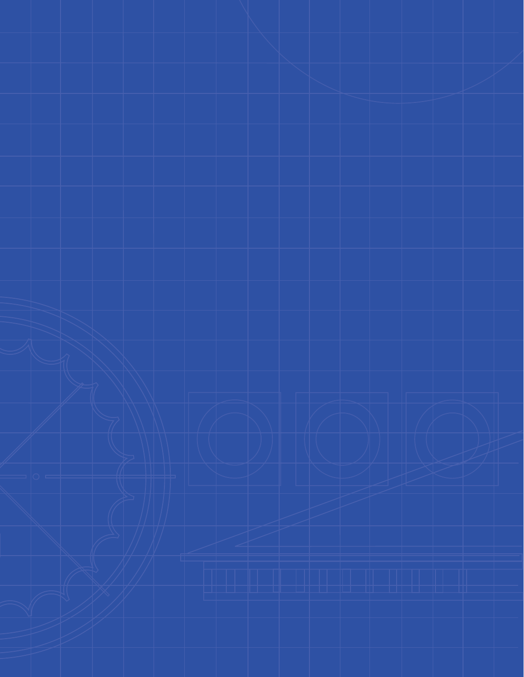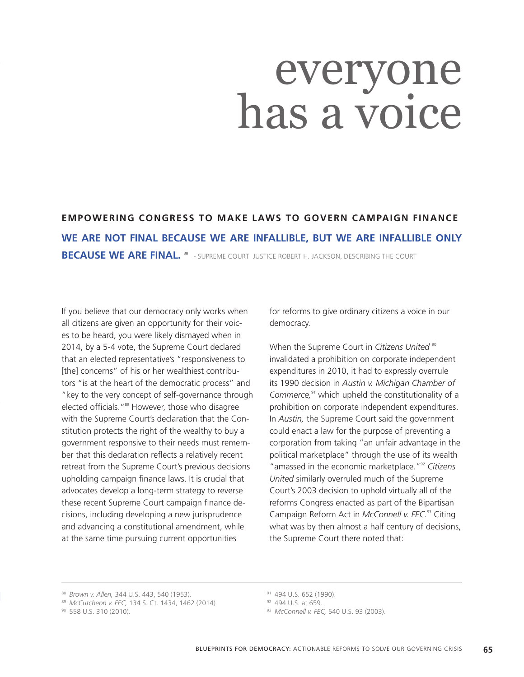# everyone has a voice

**WE ARE NOT FINAL BECAUSE WE ARE INFALLIBLE, BUT WE ARE INFALLIBLE ONLY BECAUSE WE ARE FINAL. 88 - SUPREME COURT JUSTICE ROBERT H. JACKSON, DESCRIBING THE COURT EMPOWERING CONGRESS TO MAKE LAWS TO GOVERN CAMPAIGN FINANCE** 

If you believe that our democracy only works when all citizens are given an opportunity for their voices to be heard, you were likely dismayed when in 2014, by a 5-4 vote, the Supreme Court declared that an elected representative's "responsiveness to [the] concerns" of his or her wealthiest contributors "is at the heart of the democratic process" and "key to the very concept of self-governance through elected officials."<sup>89</sup> However, those who disagree with the Supreme Court's declaration that the Constitution protects the right of the wealthy to buy a government responsive to their needs must remember that this declaration reflects a relatively recent retreat from the Supreme Court's previous decisions upholding campaign finance laws. It is crucial that advocates develop a long-term strategy to reverse these recent Supreme Court campaign finance decisions, including developing a new jurisprudence and advancing a constitutional amendment, while at the same time pursuing current opportunities

for reforms to give ordinary citizens a voice in our democracy.

When the Supreme Court in *Citizens United*<sup>90</sup> invalidated a prohibition on corporate independent expenditures in 2010, it had to expressly overrule its 1990 decision in *Austin v. Michigan Chamber of*  Commerce,<sup>91</sup> which upheld the constitutionality of a prohibition on corporate independent expenditures. In *Austin,* the Supreme Court said the government could enact a law for the purpose of preventing a corporation from taking "an unfair advantage in the political marketplace" through the use of its wealth "amassed in the economic marketplace."92 *Citizens United* similarly overruled much of the Supreme Court's 2003 decision to uphold virtually all of the reforms Congress enacted as part of the Bipartisan Campaign Reform Act in *McConnell v. FEC.*93 Citing what was by then almost a half century of decisions, the Supreme Court there noted that:

91 494 U.S. 652 (1990).

<sup>88</sup> *Brown v. Allen,* 344 U.S. 443, 540 (1953).

<sup>89</sup> *McCutcheon v. FEC,* 134 S. Ct. 1434, 1462 (2014)

<sup>90 558</sup> U.S. 310 (2010).

<sup>92 494</sup> U.S. at 659.

<sup>93</sup> *McConnell v. FEC,* 540 U.S. 93 (2003).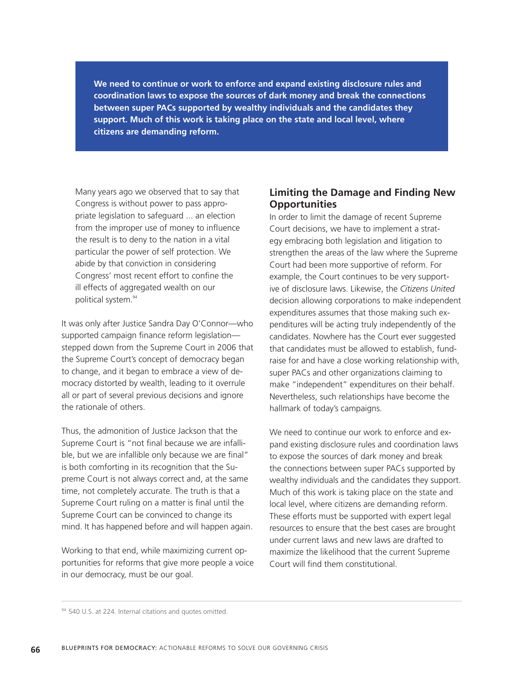**We need to continue or work to enforce and expand existing disclosure rules and coordination laws to expose the sources of dark money and break the connections between super PACs supported by wealthy individuals and the candidates they support. Much of this work is taking place on the state and local level, where citizens are demanding reform.**

Many years ago we observed that to say that Congress is without power to pass appropriate legislation to safeguard ... an election from the improper use of money to influence the result is to deny to the nation in a vital particular the power of self protection. We abide by that conviction in considering Congress' most recent effort to confine the ill effects of aggregated wealth on our political system.<sup>94</sup>

It was only after Justice Sandra Day O'Connor—who supported campaign finance reform legislation stepped down from the Supreme Court in 2006 that the Supreme Court's concept of democracy began to change, and it began to embrace a view of democracy distorted by wealth, leading to it overrule all or part of several previous decisions and ignore the rationale of others.

Thus, the admonition of Justice Jackson that the Supreme Court is "not final because we are infallible, but we are infallible only because we are final" is both comforting in its recognition that the Supreme Court is not always correct and, at the same time, not completely accurate. The truth is that a Supreme Court ruling on a matter is final until the Supreme Court can be convinced to change its mind. It has happened before and will happen again.

Working to that end, while maximizing current opportunities for reforms that give more people a voice in our democracy, must be our goal.

#### **Limiting the Damage and Finding New Opportunities**

In order to limit the damage of recent Supreme Court decisions, we have to implement a strategy embracing both legislation and litigation to strengthen the areas of the law where the Supreme Court had been more supportive of reform. For example, the Court continues to be very supportive of disclosure laws. Likewise, the *Citizens United* decision allowing corporations to make independent expenditures assumes that those making such expenditures will be acting truly independently of the candidates. Nowhere has the Court ever suggested that candidates must be allowed to establish, fundraise for and have a close working relationship with, super PACs and other organizations claiming to make "independent" expenditures on their behalf. Nevertheless, such relationships have become the hallmark of today's campaigns.

We need to continue our work to enforce and expand existing disclosure rules and coordination laws to expose the sources of dark money and break the connections between super PACs supported by wealthy individuals and the candidates they support. Much of this work is taking place on the state and local level, where citizens are demanding reform. These efforts must be supported with expert legal resources to ensure that the best cases are brought under current laws and new laws are drafted to maximize the likelihood that the current Supreme Court will find them constitutional.

<sup>94 540</sup> U.S. at 224. Internal citations and quotes omitted.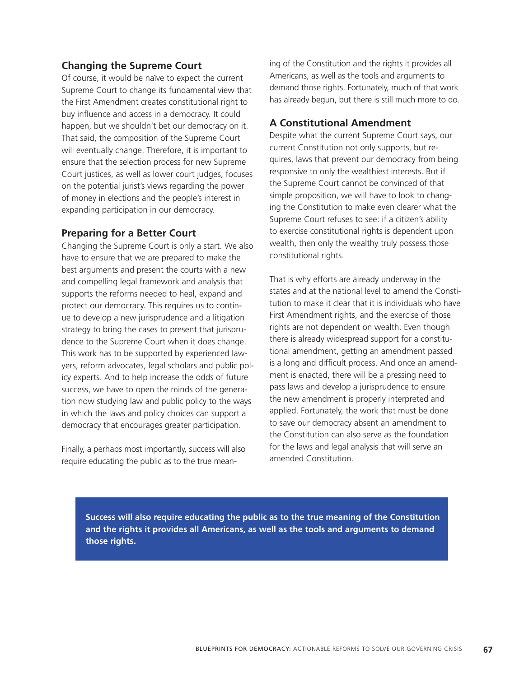#### **Changing the Supreme Court**

Of course, it would be naïve to expect the current Supreme Court to change its fundamental view that the First Amendment creates constitutional right to buy influence and access in a democracy. It could happen, but we shouldn't bet our democracy on it. That said, the composition of the Supreme Court will eventually change. Therefore, it is important to ensure that the selection process for new Supreme Court justices, as well as lower court judges, focuses on the potential jurist's views regarding the power of money in elections and the people's interest in expanding participation in our democracy.

#### **Preparing for a Better Court**

Changing the Supreme Court is only a start. We also have to ensure that we are prepared to make the best arguments and present the courts with a new and compelling legal framework and analysis that supports the reforms needed to heal, expand and protect our democracy. This requires us to continue to develop a new jurisprudence and a litigation strategy to bring the cases to present that jurisprudence to the Supreme Court when it does change. This work has to be supported by experienced lawyers, reform advocates, legal scholars and public policy experts. And to help increase the odds of future success, we have to open the minds of the generation now studying law and public policy to the ways in which the laws and policy choices can support a democracy that encourages greater participation.

Finally, a perhaps most importantly, success will also require educating the public as to the true meaning of the Constitution and the rights it provides all Americans, as well as the tools and arguments to demand those rights. Fortunately, much of that work has already begun, but there is still much more to do.

#### **A Constitutional Amendment**

Despite what the current Supreme Court says, our current Constitution not only supports, but requires, laws that prevent our democracy from being responsive to only the wealthiest interests. But if the Supreme Court cannot be convinced of that simple proposition, we will have to look to changing the Constitution to make even clearer what the Supreme Court refuses to see: if a citizen's ability to exercise constitutional rights is dependent upon wealth, then only the wealthy truly possess those constitutional rights.

That is why efforts are already underway in the states and at the national level to amend the Constitution to make it clear that it is individuals who have First Amendment rights, and the exercise of those rights are not dependent on wealth. Even though there is already widespread support for a constitutional amendment, getting an amendment passed is a long and difficult process. And once an amendment is enacted, there will be a pressing need to pass laws and develop a jurisprudence to ensure the new amendment is properly interpreted and applied. Fortunately, the work that must be done to save our democracy absent an amendment to the Constitution can also serve as the foundation for the laws and legal analysis that will serve an amended Constitution.

**Success will also require educating the public as to the true meaning of the Constitution and the rights it provides all Americans, as well as the tools and arguments to demand those rights.**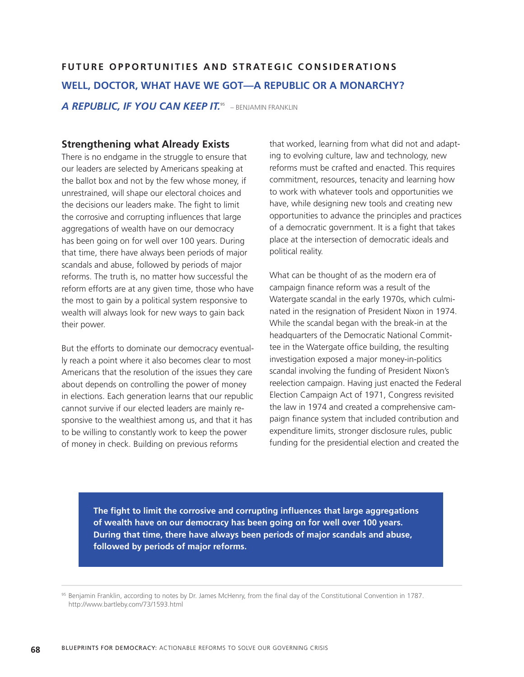### **FUTURE OPPORTUNITIES AND STRATEGIC CONSIDERATIONS WELL, DOCTOR, WHAT HAVE WE GOT—A REPUBLIC OR A MONARCHY?**

*A REPUBLIC, IF YOU CAN KEEP IT.*95 – BENJAMIN FRANKLIN

#### **Strengthening what Already Exists**

There is no endgame in the struggle to ensure that our leaders are selected by Americans speaking at the ballot box and not by the few whose money, if unrestrained, will shape our electoral choices and the decisions our leaders make. The fight to limit the corrosive and corrupting influences that large aggregations of wealth have on our democracy has been going on for well over 100 years. During that time, there have always been periods of major scandals and abuse, followed by periods of major reforms. The truth is, no matter how successful the reform efforts are at any given time, those who have the most to gain by a political system responsive to wealth will always look for new ways to gain back their power.

But the efforts to dominate our democracy eventually reach a point where it also becomes clear to most Americans that the resolution of the issues they care about depends on controlling the power of money in elections. Each generation learns that our republic cannot survive if our elected leaders are mainly responsive to the wealthiest among us, and that it has to be willing to constantly work to keep the power of money in check. Building on previous reforms

that worked, learning from what did not and adapting to evolving culture, law and technology, new reforms must be crafted and enacted. This requires commitment, resources, tenacity and learning how to work with whatever tools and opportunities we have, while designing new tools and creating new opportunities to advance the principles and practices of a democratic government. It is a fight that takes place at the intersection of democratic ideals and political reality.

What can be thought of as the modern era of campaign finance reform was a result of the Watergate scandal in the early 1970s, which culminated in the resignation of President Nixon in 1974. While the scandal began with the break-in at the headquarters of the Democratic National Committee in the Watergate office building, the resulting investigation exposed a major money-in-politics scandal involving the funding of President Nixon's reelection campaign. Having just enacted the Federal Election Campaign Act of 1971, Congress revisited the law in 1974 and created a comprehensive campaign finance system that included contribution and expenditure limits, stronger disclosure rules, public funding for the presidential election and created the

**The fight to limit the corrosive and corrupting influences that large aggregations of wealth have on our democracy has been going on for well over 100 years. During that time, there have always been periods of major scandals and abuse, followed by periods of major reforms.** 

95 Benjamin Franklin, according to notes by Dr. James McHenry, from the final day of the Constitutional Convention in 1787. http://www.bartleby.com/73/1593.html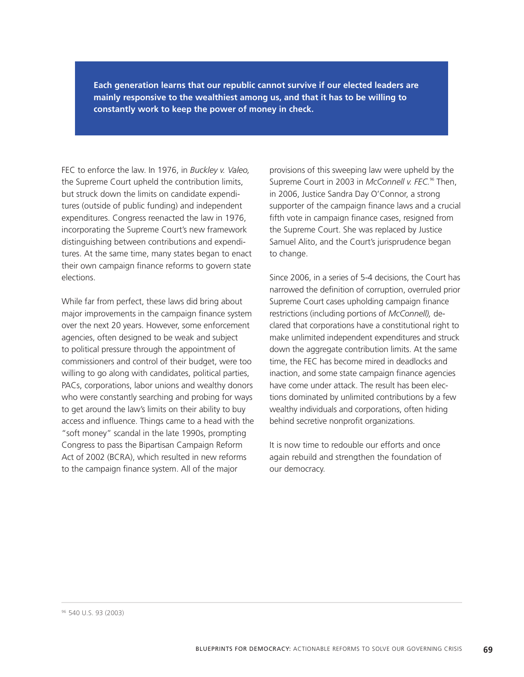**Each generation learns that our republic cannot survive if our elected leaders are mainly responsive to the wealthiest among us, and that it has to be willing to constantly work to keep the power of money in check.** 

FEC to enforce the law. In 1976, in *Buckley v. Valeo,*  the Supreme Court upheld the contribution limits, but struck down the limits on candidate expenditures (outside of public funding) and independent expenditures. Congress reenacted the law in 1976, incorporating the Supreme Court's new framework distinguishing between contributions and expenditures. At the same time, many states began to enact their own campaign finance reforms to govern state elections.

While far from perfect, these laws did bring about major improvements in the campaign finance system over the next 20 years. However, some enforcement agencies, often designed to be weak and subject to political pressure through the appointment of commissioners and control of their budget, were too willing to go along with candidates, political parties, PACs, corporations, labor unions and wealthy donors who were constantly searching and probing for ways to get around the law's limits on their ability to buy access and influence. Things came to a head with the "soft money" scandal in the late 1990s, prompting Congress to pass the Bipartisan Campaign Reform Act of 2002 (BCRA), which resulted in new reforms to the campaign finance system. All of the major

provisions of this sweeping law were upheld by the Supreme Court in 2003 in *McConnell v. FEC.*<sup>96</sup> Then, in 2006, Justice Sandra Day O'Connor, a strong supporter of the campaign finance laws and a crucial fifth vote in campaign finance cases, resigned from the Supreme Court. She was replaced by Justice Samuel Alito, and the Court's jurisprudence began to change.

Since 2006, in a series of 5-4 decisions, the Court has narrowed the definition of corruption, overruled prior Supreme Court cases upholding campaign finance restrictions (including portions of *McConnell),* declared that corporations have a constitutional right to make unlimited independent expenditures and struck down the aggregate contribution limits. At the same time, the FEC has become mired in deadlocks and inaction, and some state campaign finance agencies have come under attack. The result has been elections dominated by unlimited contributions by a few wealthy individuals and corporations, often hiding behind secretive nonprofit organizations.

It is now time to redouble our efforts and once again rebuild and strengthen the foundation of our democracy.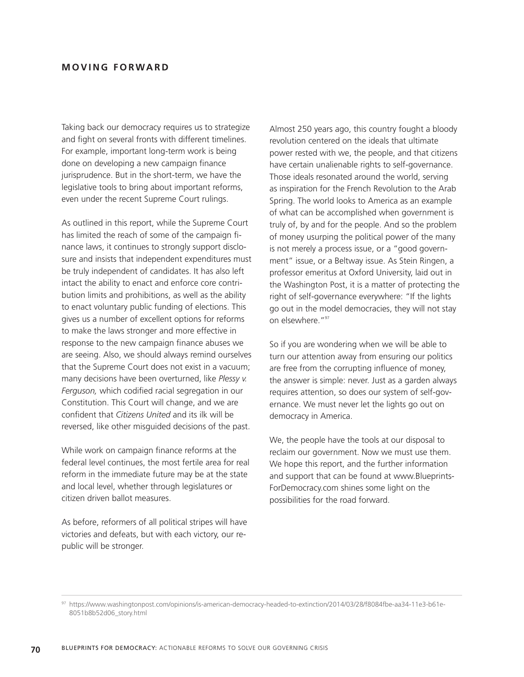#### **MOVING FORWARD**

Taking back our democracy requires us to strategize and fight on several fronts with different timelines. For example, important long-term work is being done on developing a new campaign finance jurisprudence. But in the short-term, we have the legislative tools to bring about important reforms, even under the recent Supreme Court rulings.

As outlined in this report, while the Supreme Court has limited the reach of some of the campaign finance laws, it continues to strongly support disclosure and insists that independent expenditures must be truly independent of candidates. It has also left intact the ability to enact and enforce core contribution limits and prohibitions, as well as the ability to enact voluntary public funding of elections. This gives us a number of excellent options for reforms to make the laws stronger and more effective in response to the new campaign finance abuses we are seeing. Also, we should always remind ourselves that the Supreme Court does not exist in a vacuum; many decisions have been overturned, like *Plessy v. Ferguson,* which codified racial segregation in our Constitution. This Court will change, and we are confident that *Citizens United* and its ilk will be reversed, like other misguided decisions of the past.

While work on campaign finance reforms at the federal level continues, the most fertile area for real reform in the immediate future may be at the state and local level, whether through legislatures or citizen driven ballot measures.

As before, reformers of all political stripes will have victories and defeats, but with each victory, our republic will be stronger.

Almost 250 years ago, this country fought a bloody revolution centered on the ideals that ultimate power rested with we, the people, and that citizens have certain unalienable rights to self-governance. Those ideals resonated around the world, serving as inspiration for the French Revolution to the Arab Spring. The world looks to America as an example of what can be accomplished when government is truly of, by and for the people. And so the problem of money usurping the political power of the many is not merely a process issue, or a "good government" issue, or a Beltway issue. As Stein Ringen, a professor emeritus at Oxford University, laid out in the Washington Post, it is a matter of protecting the right of self-governance everywhere: "If the lights go out in the model democracies, they will not stay on elsewhere."<sup>97</sup>

So if you are wondering when we will be able to turn our attention away from ensuring our politics are free from the corrupting influence of money, the answer is simple: never. Just as a garden always requires attention, so does our system of self-governance. We must never let the lights go out on democracy in America.

We, the people have the tools at our disposal to reclaim our government. Now we must use them. We hope this report, and the further information and support that can be found at www.Blueprints-ForDemocracy.com shines some light on the possibilities for the road forward.

<sup>97</sup> https://www.washingtonpost.com/opinions/is-american-democracy-headed-to-extinction/2014/03/28/f8084fbe-aa34-11e3-b61e-8051b8b52d06\_story.html